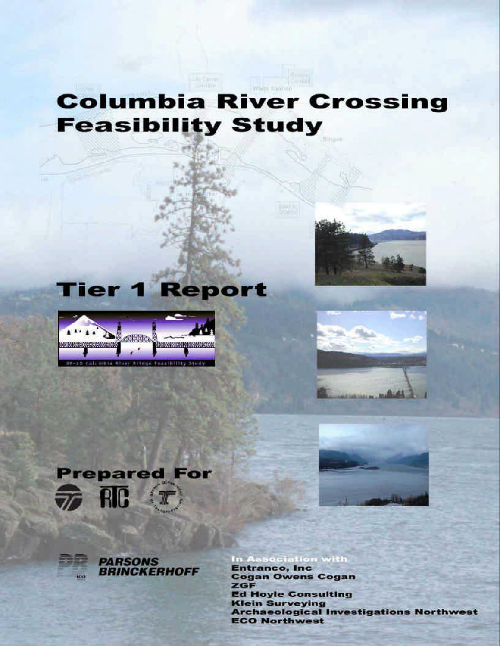# **Columbia River Crossing Feasibility Study**

**Worry Balmon** 















**In Association with** Entranco, Inc. **Cogan Owens Cogan** ZGF **Ed Hoyle Consulting Klein Surveying Archaeological Investigations Northwest ECO Northwest**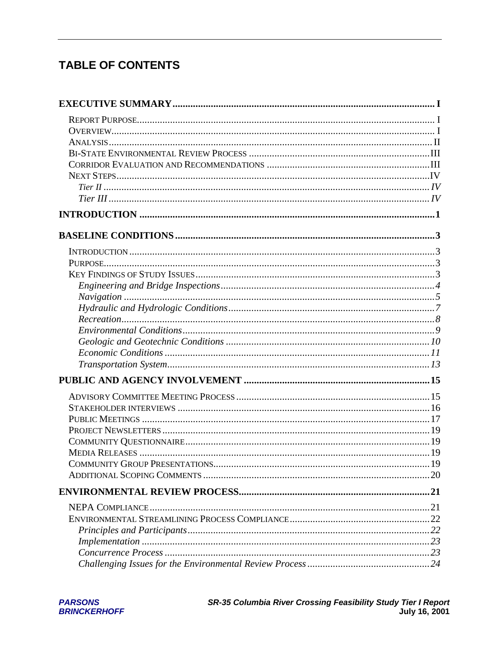## **TABLE OF CONTENTS**

| $\frac{Navigation \dots}{5}$ |
|------------------------------|
|                              |
|                              |
|                              |
|                              |
|                              |
|                              |
|                              |
|                              |
|                              |
|                              |
|                              |
|                              |
|                              |
|                              |
|                              |
|                              |
|                              |
|                              |
|                              |
|                              |
|                              |
|                              |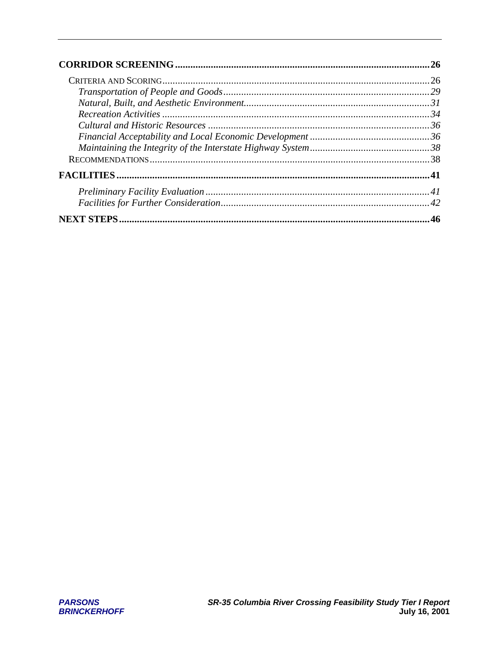| 46 |
|----|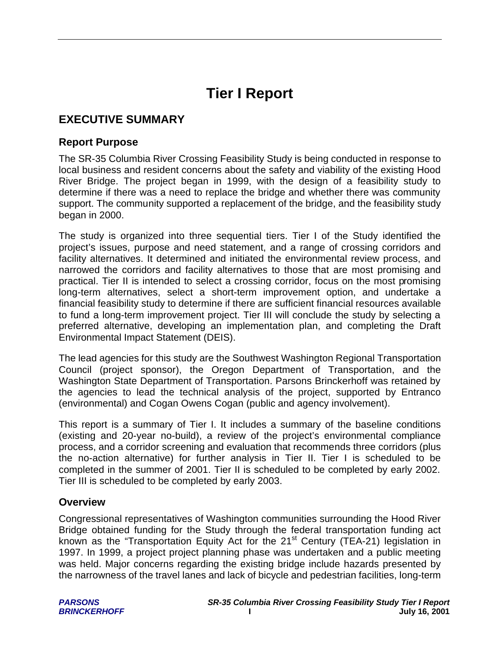## **Tier I Report**

## **EXECUTIVE SUMMARY**

## **Report Purpose**

The SR-35 Columbia River Crossing Feasibility Study is being conducted in response to local business and resident concerns about the safety and viability of the existing Hood River Bridge. The project began in 1999, with the design of a feasibility study to determine if there was a need to replace the bridge and whether there was community support. The community supported a replacement of the bridge, and the feasibility study began in 2000.

The study is organized into three sequential tiers. Tier I of the Study identified the project's issues, purpose and need statement, and a range of crossing corridors and facility alternatives. It determined and initiated the environmental review process, and narrowed the corridors and facility alternatives to those that are most promising and practical. Tier II is intended to select a crossing corridor, focus on the most promising long-term alternatives, select a short-term improvement option, and undertake a financial feasibility study to determine if there are sufficient financial resources available to fund a long-term improvement project. Tier III will conclude the study by selecting a preferred alternative, developing an implementation plan, and completing the Draft Environmental Impact Statement (DEIS).

The lead agencies for this study are the Southwest Washington Regional Transportation Council (project sponsor), the Oregon Department of Transportation, and the Washington State Department of Transportation. Parsons Brinckerhoff was retained by the agencies to lead the technical analysis of the project, supported by Entranco (environmental) and Cogan Owens Cogan (public and agency involvement).

This report is a summary of Tier I. It includes a summary of the baseline conditions (existing and 20-year no-build), a review of the project's environmental compliance process, and a corridor screening and evaluation that recommends three corridors (plus the no-action alternative) for further analysis in Tier II. Tier I is scheduled to be completed in the summer of 2001. Tier II is scheduled to be completed by early 2002. Tier III is scheduled to be completed by early 2003.

## **Overview**

Congressional representatives of Washington communities surrounding the Hood River Bridge obtained funding for the Study through the federal transportation funding act known as the "Transportation Equity Act for the 21<sup>st</sup> Century (TEA-21) legislation in 1997. In 1999, a project project planning phase was undertaken and a public meeting was held. Major concerns regarding the existing bridge include hazards presented by the narrowness of the travel lanes and lack of bicycle and pedestrian facilities, long-term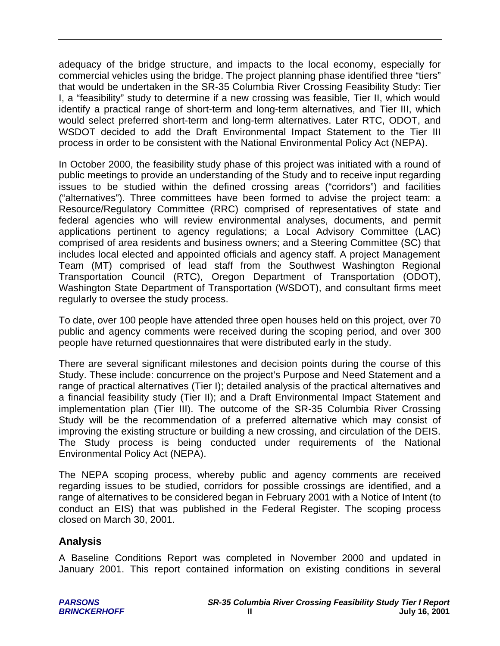adequacy of the bridge structure, and impacts to the local economy, especially for commercial vehicles using the bridge. The project planning phase identified three "tiers" that would be undertaken in the SR-35 Columbia River Crossing Feasibility Study: Tier I, a "feasibility" study to determine if a new crossing was feasible, Tier II, which would identify a practical range of short-term and long-term alternatives, and Tier III, which would select preferred short-term and long-term alternatives. Later RTC, ODOT, and WSDOT decided to add the Draft Environmental Impact Statement to the Tier III process in order to be consistent with the National Environmental Policy Act (NEPA).

In October 2000, the feasibility study phase of this project was initiated with a round of public meetings to provide an understanding of the Study and to receive input regarding issues to be studied within the defined crossing areas ("corridors") and facilities ("alternatives"). Three committees have been formed to advise the project team: a Resource/Regulatory Committee (RRC) comprised of representatives of state and federal agencies who will review environmental analyses, documents, and permit applications pertinent to agency regulations; a Local Advisory Committee (LAC) comprised of area residents and business owners; and a Steering Committee (SC) that includes local elected and appointed officials and agency staff. A project Management Team (MT) comprised of lead staff from the Southwest Washington Regional Transportation Council (RTC), Oregon Department of Transportation (ODOT), Washington State Department of Transportation (WSDOT), and consultant firms meet regularly to oversee the study process.

To date, over 100 people have attended three open houses held on this project, over 70 public and agency comments were received during the scoping period, and over 300 people have returned questionnaires that were distributed early in the study.

There are several significant milestones and decision points during the course of this Study. These include: concurrence on the project's Purpose and Need Statement and a range of practical alternatives (Tier I); detailed analysis of the practical alternatives and a financial feasibility study (Tier II); and a Draft Environmental Impact Statement and implementation plan (Tier III). The outcome of the SR-35 Columbia River Crossing Study will be the recommendation of a preferred alternative which may consist of improving the existing structure or building a new crossing, and circulation of the DEIS. The Study process is being conducted under requirements of the National Environmental Policy Act (NEPA).

The NEPA scoping process, whereby public and agency comments are received regarding issues to be studied, corridors for possible crossings are identified, and a range of alternatives to be considered began in February 2001 with a Notice of Intent (to conduct an EIS) that was published in the Federal Register. The scoping process closed on March 30, 2001.

## **Analysis**

A Baseline Conditions Report was completed in November 2000 and updated in January 2001. This report contained information on existing conditions in several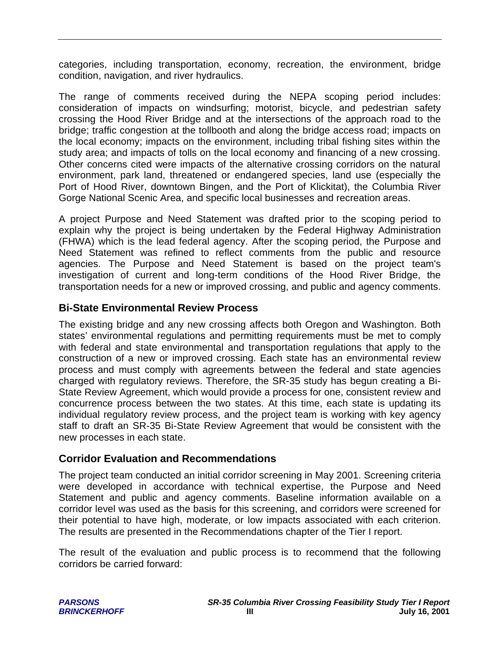categories, including transportation, economy, recreation, the environment, bridge condition, navigation, and river hydraulics.

The range of comments received during the NEPA scoping period includes: consideration of impacts on windsurfing; motorist, bicycle, and pedestrian safety crossing the Hood River Bridge and at the intersections of the approach road to the bridge; traffic congestion at the tollbooth and along the bridge access road; impacts on the local economy; impacts on the environment, including tribal fishing sites within the study area; and impacts of tolls on the local economy and financing of a new crossing. Other concerns cited were impacts of the alternative crossing corridors on the natural environment, park land, threatened or endangered species, land use (especially the Port of Hood River, downtown Bingen, and the Port of Klickitat), the Columbia River Gorge National Scenic Area, and specific local businesses and recreation areas.

A project Purpose and Need Statement was drafted prior to the scoping period to explain why the project is being undertaken by the Federal Highway Administration (FHWA) which is the lead federal agency. After the scoping period, the Purpose and Need Statement was refined to reflect comments from the public and resource agencies. The Purpose and Need Statement is based on the project team's investigation of current and long-term conditions of the Hood River Bridge, the transportation needs for a new or improved crossing, and public and agency comments.

## **Bi-State Environmental Review Process**

The existing bridge and any new crossing affects both Oregon and Washington. Both states' environmental regulations and permitting requirements must be met to comply with federal and state environmental and transportation regulations that apply to the construction of a new or improved crossing. Each state has an environmental review process and must comply with agreements between the federal and state agencies charged with regulatory reviews. Therefore, the SR-35 study has begun creating a Bi-State Review Agreement, which would provide a process for one, consistent review and concurrence process between the two states. At this time, each state is updating its individual regulatory review process, and the project team is working with key agency staff to draft an SR-35 Bi-State Review Agreement that would be consistent with the new processes in each state.

## **Corridor Evaluation and Recommendations**

The project team conducted an initial corridor screening in May 2001. Screening criteria were developed in accordance with technical expertise, the Purpose and Need Statement and public and agency comments. Baseline information available on a corridor level was used as the basis for this screening, and corridors were screened for their potential to have high, moderate, or low impacts associated with each criterion. The results are presented in the Recommendations chapter of the Tier I report.

The result of the evaluation and public process is to recommend that the following corridors be carried forward: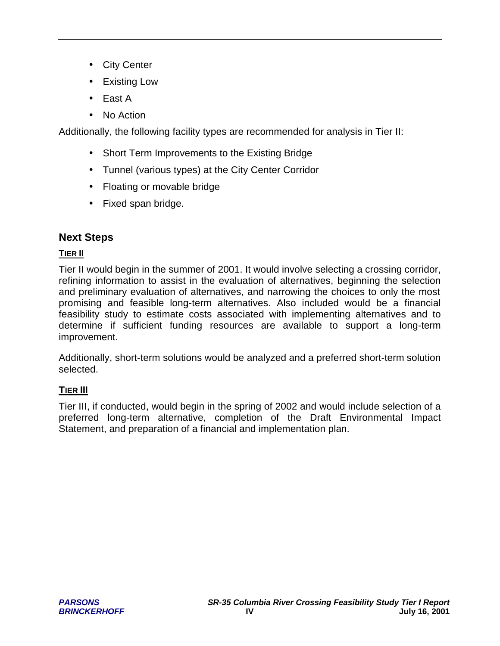- City Center
- Existing Low
- East A
- No Action

Additionally, the following facility types are recommended for analysis in Tier II:

- Short Term Improvements to the Existing Bridge
- Tunnel (various types) at the City Center Corridor
- Floating or movable bridge
- Fixed span bridge.

## **Next Steps**

## **TIER II**

Tier II would begin in the summer of 2001. It would involve selecting a crossing corridor, refining information to assist in the evaluation of alternatives, beginning the selection and preliminary evaluation of alternatives, and narrowing the choices to only the most promising and feasible long-term alternatives. Also included would be a financial feasibility study to estimate costs associated with implementing alternatives and to determine if sufficient funding resources are available to support a long-term improvement.

Additionally, short-term solutions would be analyzed and a preferred short-term solution selected.

## **TIER III**

Tier III, if conducted, would begin in the spring of 2002 and would include selection of a preferred long-term alternative, completion of the Draft Environmental Impact Statement, and preparation of a financial and implementation plan.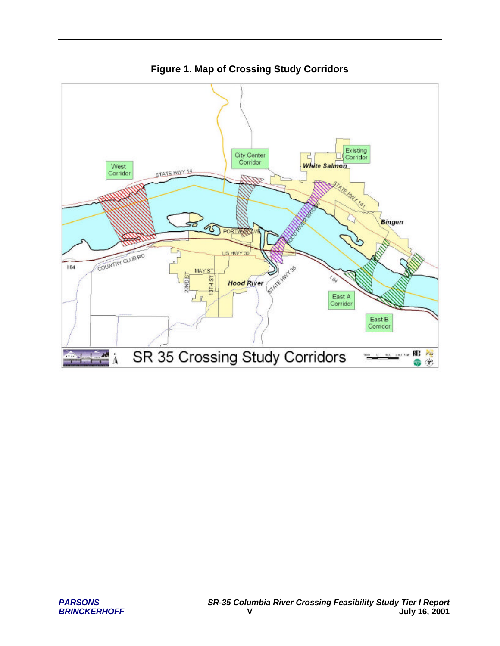

**Figure 1. Map of Crossing Study Corridors**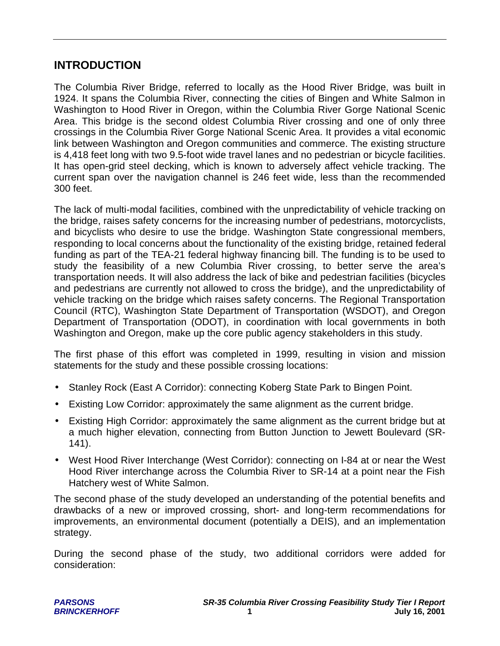## **INTRODUCTION**

The Columbia River Bridge, referred to locally as the Hood River Bridge, was built in 1924. It spans the Columbia River, connecting the cities of Bingen and White Salmon in Washington to Hood River in Oregon, within the Columbia River Gorge National Scenic Area. This bridge is the second oldest Columbia River crossing and one of only three crossings in the Columbia River Gorge National Scenic Area. It provides a vital economic link between Washington and Oregon communities and commerce. The existing structure is 4,418 feet long with two 9.5-foot wide travel lanes and no pedestrian or bicycle facilities. It has open-grid steel decking, which is known to adversely affect vehicle tracking. The current span over the navigation channel is 246 feet wide, less than the recommended 300 feet.

The lack of multi-modal facilities, combined with the unpredictability of vehicle tracking on the bridge, raises safety concerns for the increasing number of pedestrians, motorcyclists, and bicyclists who desire to use the bridge. Washington State congressional members, responding to local concerns about the functionality of the existing bridge, retained federal funding as part of the TEA-21 federal highway financing bill. The funding is to be used to study the feasibility of a new Columbia River crossing, to better serve the area's transportation needs. It will also address the lack of bike and pedestrian facilities (bicycles and pedestrians are currently not allowed to cross the bridge), and the unpredictability of vehicle tracking on the bridge which raises safety concerns. The Regional Transportation Council (RTC), Washington State Department of Transportation (WSDOT), and Oregon Department of Transportation (ODOT), in coordination with local governments in both Washington and Oregon, make up the core public agency stakeholders in this study.

The first phase of this effort was completed in 1999, resulting in vision and mission statements for the study and these possible crossing locations:

- Stanley Rock (East A Corridor): connecting Koberg State Park to Bingen Point.
- Existing Low Corridor: approximately the same alignment as the current bridge.
- Existing High Corridor: approximately the same alignment as the current bridge but at a much higher elevation, connecting from Button Junction to Jewett Boulevard (SR-141).
- West Hood River Interchange (West Corridor): connecting on I-84 at or near the West Hood River interchange across the Columbia River to SR-14 at a point near the Fish Hatchery west of White Salmon.

The second phase of the study developed an understanding of the potential benefits and drawbacks of a new or improved crossing, short- and long-term recommendations for improvements, an environmental document (potentially a DEIS), and an implementation strategy.

During the second phase of the study, two additional corridors were added for consideration: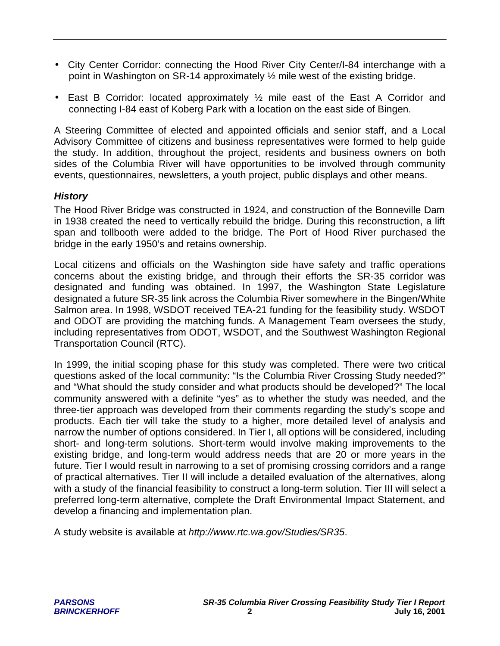- City Center Corridor: connecting the Hood River City Center/I-84 interchange with a point in Washington on SR-14 approximately ½ mile west of the existing bridge.
- East B Corridor: located approximately ½ mile east of the East A Corridor and connecting I-84 east of Koberg Park with a location on the east side of Bingen.

A Steering Committee of elected and appointed officials and senior staff, and a Local Advisory Committee of citizens and business representatives were formed to help guide the study. In addition, throughout the project, residents and business owners on both sides of the Columbia River will have opportunities to be involved through community events, questionnaires, newsletters, a youth project, public displays and other means.

## *History*

The Hood River Bridge was constructed in 1924, and construction of the Bonneville Dam in 1938 created the need to vertically rebuild the bridge. During this reconstruction, a lift span and tollbooth were added to the bridge. The Port of Hood River purchased the bridge in the early 1950's and retains ownership.

Local citizens and officials on the Washington side have safety and traffic operations concerns about the existing bridge, and through their efforts the SR-35 corridor was designated and funding was obtained. In 1997, the Washington State Legislature designated a future SR-35 link across the Columbia River somewhere in the Bingen/White Salmon area. In 1998, WSDOT received TEA-21 funding for the feasibility study. WSDOT and ODOT are providing the matching funds. A Management Team oversees the study, including representatives from ODOT, WSDOT, and the Southwest Washington Regional Transportation Council (RTC).

In 1999, the initial scoping phase for this study was completed. There were two critical questions asked of the local community: "Is the Columbia River Crossing Study needed?" and "What should the study consider and what products should be developed?" The local community answered with a definite "yes" as to whether the study was needed, and the three-tier approach was developed from their comments regarding the study's scope and products. Each tier will take the study to a higher, more detailed level of analysis and narrow the number of options considered. In Tier I, all options will be considered, including short- and long-term solutions. Short-term would involve making improvements to the existing bridge, and long-term would address needs that are 20 or more years in the future. Tier I would result in narrowing to a set of promising crossing corridors and a range of practical alternatives. Tier II will include a detailed evaluation of the alternatives, along with a study of the financial feasibility to construct a long-term solution. Tier III will select a preferred long-term alternative, complete the Draft Environmental Impact Statement, and develop a financing and implementation plan.

A study website is available at *http://www.rtc.wa.gov/Studies/SR35*.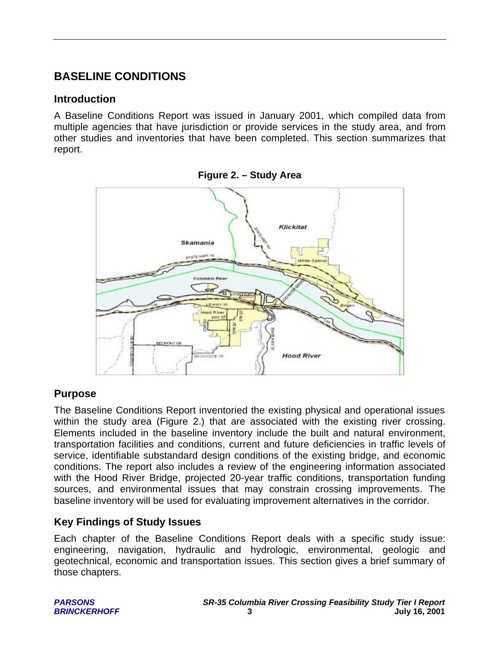## **BASELINE CONDITIONS**

## **Introduction**

A Baseline Conditions Report was issued in January 2001, which compiled data from multiple agencies that have jurisdiction or provide services in the study area, and from other studies and inventories that have been completed. This section summarizes that report.



**Figure 2. – Study Area**

## **Purpose**

The Baseline Conditions Report inventoried the existing physical and operational issues within the study area (Figure 2.) that are associated with the existing river crossing. Elements included in the baseline inventory include the built and natural environment, transportation facilities and conditions, current and future deficiencies in traffic levels of service, identifiable substandard design conditions of the existing bridge, and economic conditions. The report also includes a review of the engineering information associated with the Hood River Bridge, projected 20-year traffic conditions, transportation funding sources, and environmental issues that may constrain crossing improvements. The baseline inventory will be used for evaluating improvement alternatives in the corridor.

## **Key Findings of Study Issues**

Each chapter of the Baseline Conditions Report deals with a specific study issue: engineering, navigation, hydraulic and hydrologic, environmental, geologic and geotechnical, economic and transportation issues. This section gives a brief summary of those chapters.

| <b>PARSONS</b>      |
|---------------------|
| <b>BRINCKERHOFF</b> |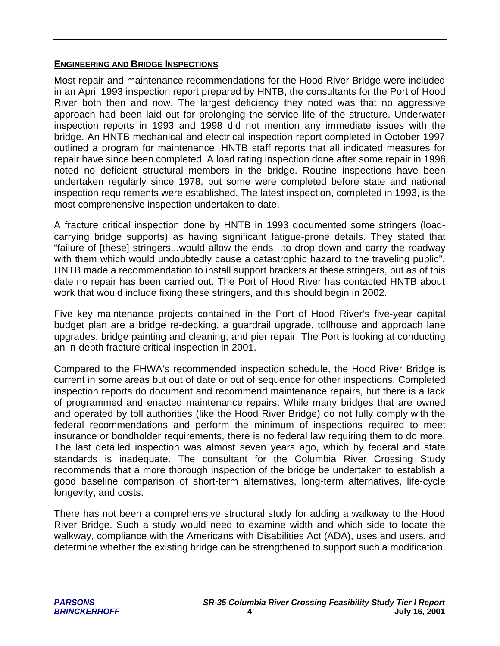#### **ENGINEERING AND BRIDGE INSPECTIONS**

Most repair and maintenance recommendations for the Hood River Bridge were included in an April 1993 inspection report prepared by HNTB, the consultants for the Port of Hood River both then and now. The largest deficiency they noted was that no aggressive approach had been laid out for prolonging the service life of the structure. Underwater inspection reports in 1993 and 1998 did not mention any immediate issues with the bridge. An HNTB mechanical and electrical inspection report completed in October 1997 outlined a program for maintenance. HNTB staff reports that all indicated measures for repair have since been completed. A load rating inspection done after some repair in 1996 noted no deficient structural members in the bridge. Routine inspections have been undertaken regularly since 1978, but some were completed before state and national inspection requirements were established. The latest inspection, completed in 1993, is the most comprehensive inspection undertaken to date.

A fracture critical inspection done by HNTB in 1993 documented some stringers (loadcarrying bridge supports) as having significant fatigue-prone details. They stated that "failure of [these] stringers...would allow the ends…to drop down and carry the roadway with them which would undoubtedly cause a catastrophic hazard to the traveling public". HNTB made a recommendation to install support brackets at these stringers, but as of this date no repair has been carried out. The Port of Hood River has contacted HNTB about work that would include fixing these stringers, and this should begin in 2002.

Five key maintenance projects contained in the Port of Hood River's five-year capital budget plan are a bridge re-decking, a guardrail upgrade, tollhouse and approach lane upgrades, bridge painting and cleaning, and pier repair. The Port is looking at conducting an in-depth fracture critical inspection in 2001.

Compared to the FHWA's recommended inspection schedule, the Hood River Bridge is current in some areas but out of date or out of sequence for other inspections. Completed inspection reports do document and recommend maintenance repairs, but there is a lack of programmed and enacted maintenance repairs. While many bridges that are owned and operated by toll authorities (like the Hood River Bridge) do not fully comply with the federal recommendations and perform the minimum of inspections required to meet insurance or bondholder requirements, there is no federal law requiring them to do more. The last detailed inspection was almost seven years ago, which by federal and state standards is inadequate. The consultant for the Columbia River Crossing Study recommends that a more thorough inspection of the bridge be undertaken to establish a good baseline comparison of short-term alternatives, long-term alternatives, life-cycle longevity, and costs.

There has not been a comprehensive structural study for adding a walkway to the Hood River Bridge. Such a study would need to examine width and which side to locate the walkway, compliance with the Americans with Disabilities Act (ADA), uses and users, and determine whether the existing bridge can be strengthened to support such a modification.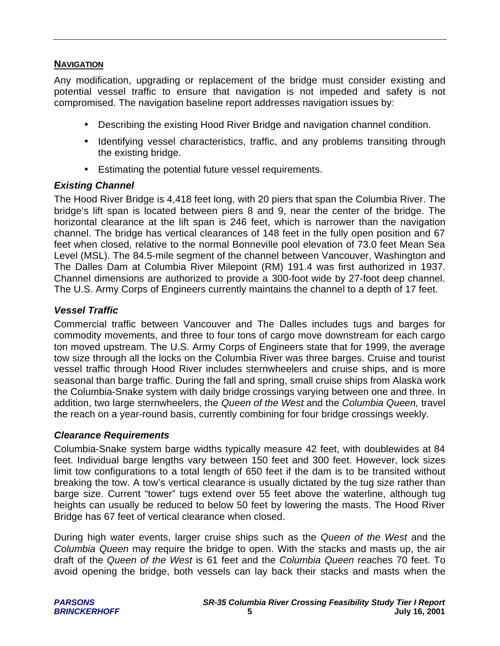## **NAVIGATION**

Any modification, upgrading or replacement of the bridge must consider existing and potential vessel traffic to ensure that navigation is not impeded and safety is not compromised. The navigation baseline report addresses navigation issues by:

- Describing the existing Hood River Bridge and navigation channel condition.
- Identifying vessel characteristics, traffic, and any problems transiting through the existing bridge.
- Estimating the potential future vessel requirements.

## *Existing Channel*

The Hood River Bridge is 4,418 feet long, with 20 piers that span the Columbia River. The bridge's lift span is located between piers 8 and 9, near the center of the bridge. The horizontal clearance at the lift span is 246 feet, which is narrower than the navigation channel. The bridge has vertical clearances of 148 feet in the fully open position and 67 feet when closed, relative to the normal Bonneville pool elevation of 73.0 feet Mean Sea Level (MSL). The 84.5-mile segment of the channel between Vancouver, Washington and The Dalles Dam at Columbia River Milepoint (RM) 191.4 was first authorized in 1937. Channel dimensions are authorized to provide a 300-foot wide by 27-foot deep channel. The U.S. Army Corps of Engineers currently maintains the channel to a depth of 17 feet.

## *Vessel Traffic*

Commercial traffic between Vancouver and The Dalles includes tugs and barges for commodity movements, and three to four tons of cargo move downstream for each cargo ton moved upstream. The U.S. Army Corps of Engineers state that for 1999, the average tow size through all the locks on the Columbia River was three barges. Cruise and tourist vessel traffic through Hood River includes sternwheelers and cruise ships, and is more seasonal than barge traffic. During the fall and spring, small cruise ships from Alaska work the Columbia-Snake system with daily bridge crossings varying between one and three. In addition, two large sternwheelers, the *Queen of the West* and the *Columbia Queen,* travel the reach on a year-round basis, currently combining for four bridge crossings weekly.

## *Clearance Requirements*

Columbia-Snake system barge widths typically measure 42 feet, with doublewides at 84 feet. Individual barge lengths vary between 150 feet and 300 feet. However, lock sizes limit tow configurations to a total length of 650 feet if the dam is to be transited without breaking the tow. A tow's vertical clearance is usually dictated by the tug size rather than barge size. Current "tower" tugs extend over 55 feet above the waterline, although tug heights can usually be reduced to below 50 feet by lowering the masts. The Hood River Bridge has 67 feet of vertical clearance when closed.

During high water events, larger cruise ships such as the *Queen of the West* and the *Columbia Queen* may require the bridge to open. With the stacks and masts up, the air draft of the *Queen of the West* is 61 feet and the *Columbia Queen* reaches 70 feet. To avoid opening the bridge, both vessels can lay back their stacks and masts when the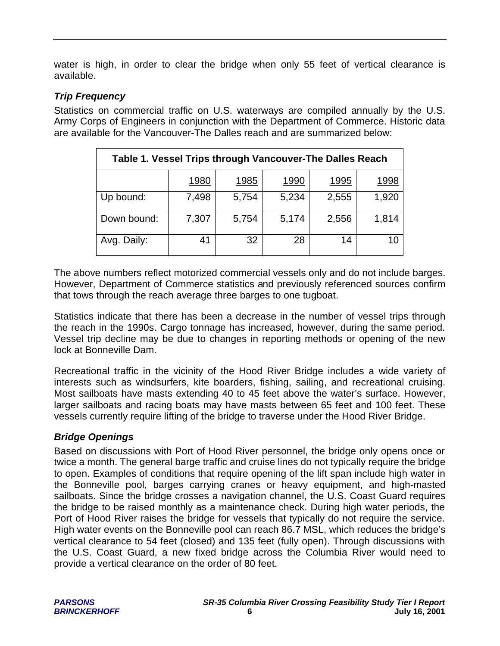water is high, in order to clear the bridge when only 55 feet of vertical clearance is available.

## *Trip Frequency*

Statistics on commercial traffic on U.S. waterways are compiled annually by the U.S. Army Corps of Engineers in conjunction with the Department of Commerce. Historic data are available for the Vancouver-The Dalles reach and are summarized below:

| Table 1. Vessel Trips through Vancouver-The Dalles Reach |       |       |       |       |       |  |  |  |  |
|----------------------------------------------------------|-------|-------|-------|-------|-------|--|--|--|--|
|                                                          | 1980  | 1985  | 1990  | 1995  | 1998  |  |  |  |  |
| Up bound:                                                | 7,498 | 5,754 | 5,234 | 2,555 | 1,920 |  |  |  |  |
| Down bound:                                              | 7,307 | 5,754 | 5,174 | 2,556 | 1,814 |  |  |  |  |
| Avg. Daily:                                              | 41    | 32    | 28    | 14    | 10    |  |  |  |  |

The above numbers reflect motorized commercial vessels only and do not include barges. However, Department of Commerce statistics and previously referenced sources confirm that tows through the reach average three barges to one tugboat.

Statistics indicate that there has been a decrease in the number of vessel trips through the reach in the 1990s. Cargo tonnage has increased, however, during the same period. Vessel trip decline may be due to changes in reporting methods or opening of the new lock at Bonneville Dam.

Recreational traffic in the vicinity of the Hood River Bridge includes a wide variety of interests such as windsurfers, kite boarders, fishing, sailing, and recreational cruising. Most sailboats have masts extending 40 to 45 feet above the water's surface. However, larger sailboats and racing boats may have masts between 65 feet and 100 feet. These vessels currently require lifting of the bridge to traverse under the Hood River Bridge.

## *Bridge Openings*

Based on discussions with Port of Hood River personnel, the bridge only opens once or twice a month. The general barge traffic and cruise lines do not typically require the bridge to open. Examples of conditions that require opening of the lift span include high water in the Bonneville pool, barges carrying cranes or heavy equipment, and high-masted sailboats. Since the bridge crosses a navigation channel, the U.S. Coast Guard requires the bridge to be raised monthly as a maintenance check. During high water periods, the Port of Hood River raises the bridge for vessels that typically do not require the service. High water events on the Bonneville pool can reach 86.7 MSL, which reduces the bridge's vertical clearance to 54 feet (closed) and 135 feet (fully open). Through discussions with the U.S. Coast Guard, a new fixed bridge across the Columbia River would need to provide a vertical clearance on the order of 80 feet.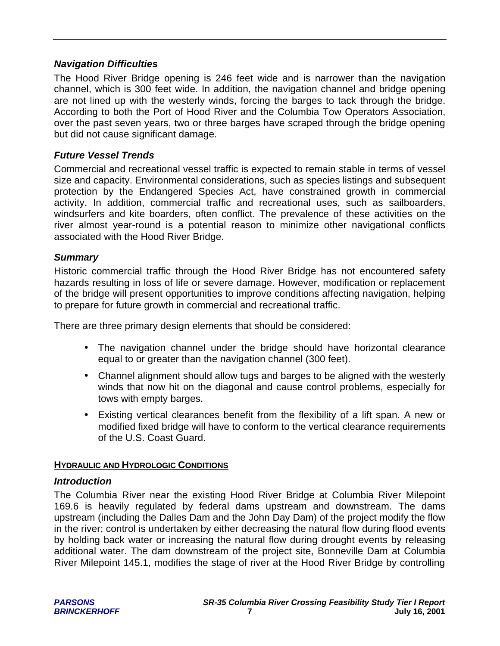#### *Navigation Difficulties*

The Hood River Bridge opening is 246 feet wide and is narrower than the navigation channel, which is 300 feet wide. In addition, the navigation channel and bridge opening are not lined up with the westerly winds, forcing the barges to tack through the bridge. According to both the Port of Hood River and the Columbia Tow Operators Association, over the past seven years, two or three barges have scraped through the bridge opening but did not cause significant damage.

#### *Future Vessel Trends*

Commercial and recreational vessel traffic is expected to remain stable in terms of vessel size and capacity. Environmental considerations, such as species listings and subsequent protection by the Endangered Species Act, have constrained growth in commercial activity. In addition, commercial traffic and recreational uses, such as sailboarders, windsurfers and kite boarders, often conflict. The prevalence of these activities on the river almost year-round is a potential reason to minimize other navigational conflicts associated with the Hood River Bridge.

#### *Summary*

Historic commercial traffic through the Hood River Bridge has not encountered safety hazards resulting in loss of life or severe damage. However, modification or replacement of the bridge will present opportunities to improve conditions affecting navigation, helping to prepare for future growth in commercial and recreational traffic.

There are three primary design elements that should be considered:

- The navigation channel under the bridge should have horizontal clearance equal to or greater than the navigation channel (300 feet).
- Channel alignment should allow tugs and barges to be aligned with the westerly winds that now hit on the diagonal and cause control problems, especially for tows with empty barges.
- Existing vertical clearances benefit from the flexibility of a lift span. A new or modified fixed bridge will have to conform to the vertical clearance requirements of the U.S. Coast Guard.

#### **HYDRAULIC AND HYDROLOGIC CONDITIONS**

#### *Introduction*

The Columbia River near the existing Hood River Bridge at Columbia River Milepoint 169.6 is heavily regulated by federal dams upstream and downstream. The dams upstream (including the Dalles Dam and the John Day Dam) of the project modify the flow in the river; control is undertaken by either decreasing the natural flow during flood events by holding back water or increasing the natural flow during drought events by releasing additional water. The dam downstream of the project site, Bonneville Dam at Columbia River Milepoint 145.1, modifies the stage of river at the Hood River Bridge by controlling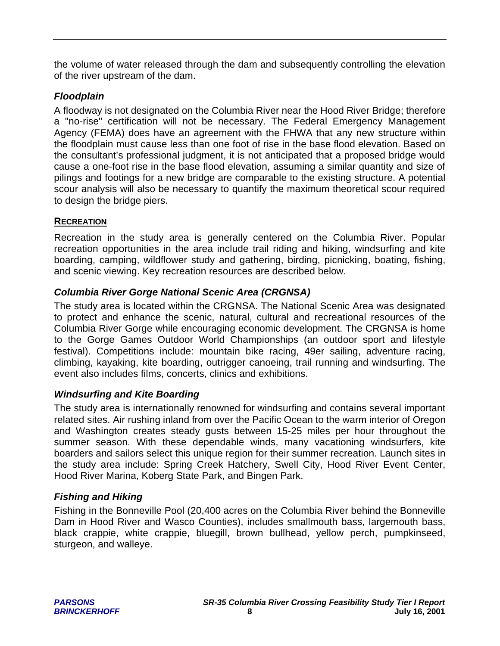the volume of water released through the dam and subsequently controlling the elevation of the river upstream of the dam.

## *Floodplain*

A floodway is not designated on the Columbia River near the Hood River Bridge; therefore a "no-rise" certification will not be necessary. The Federal Emergency Management Agency (FEMA) does have an agreement with the FHWA that any new structure within the floodplain must cause less than one foot of rise in the base flood elevation. Based on the consultant's professional judgment, it is not anticipated that a proposed bridge would cause a one-foot rise in the base flood elevation, assuming a similar quantity and size of pilings and footings for a new bridge are comparable to the existing structure. A potential scour analysis will also be necessary to quantify the maximum theoretical scour required to design the bridge piers.

## **RECREATION**

Recreation in the study area is generally centered on the Columbia River. Popular recreation opportunities in the area include trail riding and hiking, windsurfing and kite boarding, camping, wildflower study and gathering, birding, picnicking, boating, fishing, and scenic viewing. Key recreation resources are described below.

## *Columbia River Gorge National Scenic Area (CRGNSA)*

The study area is located within the CRGNSA. The National Scenic Area was designated to protect and enhance the scenic, natural, cultural and recreational resources of the Columbia River Gorge while encouraging economic development. The CRGNSA is home to the Gorge Games Outdoor World Championships (an outdoor sport and lifestyle festival). Competitions include: mountain bike racing, 49er sailing, adventure racing, climbing, kayaking, kite boarding, outrigger canoeing, trail running and windsurfing. The event also includes films, concerts, clinics and exhibitions.

## *Windsurfing and Kite Boarding*

The study area is internationally renowned for windsurfing and contains several important related sites. Air rushing inland from over the Pacific Ocean to the warm interior of Oregon and Washington creates steady gusts between 15-25 miles per hour throughout the summer season. With these dependable winds, many vacationing windsurfers, kite boarders and sailors select this unique region for their summer recreation. Launch sites in the study area include: Spring Creek Hatchery, Swell City, Hood River Event Center, Hood River Marina, Koberg State Park, and Bingen Park.

## *Fishing and Hiking*

Fishing in the Bonneville Pool (20,400 acres on the Columbia River behind the Bonneville Dam in Hood River and Wasco Counties), includes smallmouth bass, largemouth bass, black crappie, white crappie, bluegill, brown bullhead, yellow perch, pumpkinseed, sturgeon, and walleye.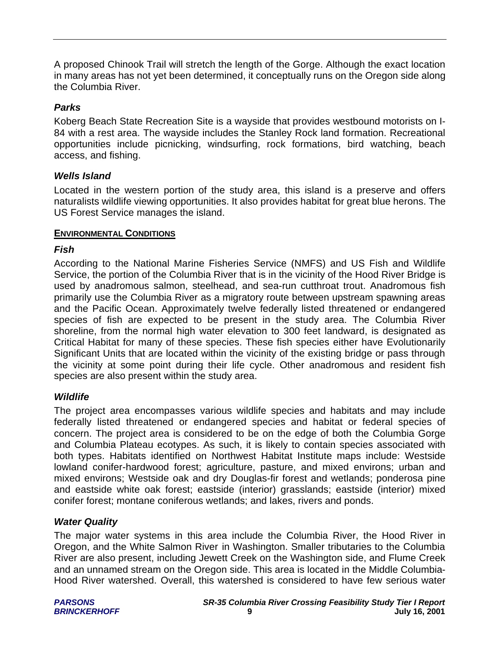A proposed Chinook Trail will stretch the length of the Gorge. Although the exact location in many areas has not yet been determined, it conceptually runs on the Oregon side along the Columbia River.

## *Parks*

Koberg Beach State Recreation Site is a wayside that provides westbound motorists on I-84 with a rest area. The wayside includes the Stanley Rock land formation. Recreational opportunities include picnicking, windsurfing, rock formations, bird watching, beach access, and fishing.

## *Wells Island*

Located in the western portion of the study area, this island is a preserve and offers naturalists wildlife viewing opportunities. It also provides habitat for great blue herons. The US Forest Service manages the island.

## **ENVIRONMENTAL CONDITIONS**

## *Fish*

According to the National Marine Fisheries Service (NMFS) and US Fish and Wildlife Service, the portion of the Columbia River that is in the vicinity of the Hood River Bridge is used by anadromous salmon, steelhead, and sea-run cutthroat trout. Anadromous fish primarily use the Columbia River as a migratory route between upstream spawning areas and the Pacific Ocean. Approximately twelve federally listed threatened or endangered species of fish are expected to be present in the study area. The Columbia River shoreline, from the normal high water elevation to 300 feet landward, is designated as Critical Habitat for many of these species. These fish species either have Evolutionarily Significant Units that are located within the vicinity of the existing bridge or pass through the vicinity at some point during their life cycle. Other anadromous and resident fish species are also present within the study area.

## *Wildlife*

The project area encompasses various wildlife species and habitats and may include federally listed threatened or endangered species and habitat or federal species of concern. The project area is considered to be on the edge of both the Columbia Gorge and Columbia Plateau ecotypes. As such, it is likely to contain species associated with both types. Habitats identified on Northwest Habitat Institute maps include: Westside lowland conifer-hardwood forest; agriculture, pasture, and mixed environs; urban and mixed environs; Westside oak and dry Douglas-fir forest and wetlands; ponderosa pine and eastside white oak forest; eastside (interior) grasslands; eastside (interior) mixed conifer forest; montane coniferous wetlands; and lakes, rivers and ponds.

## *Water Quality*

The major water systems in this area include the Columbia River, the Hood River in Oregon, and the White Salmon River in Washington. Smaller tributaries to the Columbia River are also present, including Jewett Creek on the Washington side, and Flume Creek and an unnamed stream on the Oregon side. This area is located in the Middle Columbia-Hood River watershed. Overall, this watershed is considered to have few serious water

| <b>PARSONS</b>      |
|---------------------|
| <b>BRINCKERHOFF</b> |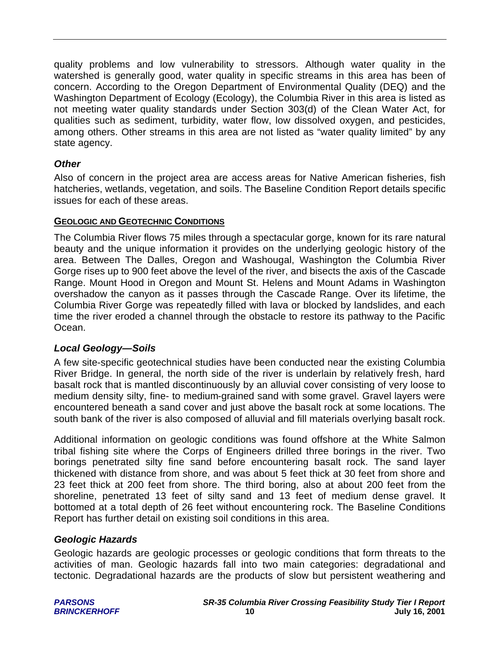quality problems and low vulnerability to stressors. Although water quality in the watershed is generally good, water quality in specific streams in this area has been of concern. According to the Oregon Department of Environmental Quality (DEQ) and the Washington Department of Ecology (Ecology), the Columbia River in this area is listed as not meeting water quality standards under Section 303(d) of the Clean Water Act, for qualities such as sediment, turbidity, water flow, low dissolved oxygen, and pesticides, among others. Other streams in this area are not listed as "water quality limited" by any state agency.

## *Other*

Also of concern in the project area are access areas for Native American fisheries, fish hatcheries, wetlands, vegetation, and soils. The Baseline Condition Report details specific issues for each of these areas.

#### **GEOLOGIC AND GEOTECHNIC CONDITIONS**

The Columbia River flows 75 miles through a spectacular gorge, known for its rare natural beauty and the unique information it provides on the underlying geologic history of the area. Between The Dalles, Oregon and Washougal, Washington the Columbia River Gorge rises up to 900 feet above the level of the river, and bisects the axis of the Cascade Range. Mount Hood in Oregon and Mount St. Helens and Mount Adams in Washington overshadow the canyon as it passes through the Cascade Range. Over its lifetime, the Columbia River Gorge was repeatedly filled with lava or blocked by landslides, and each time the river eroded a channel through the obstacle to restore its pathway to the Pacific Ocean.

## *Local Geology—Soils*

A few site-specific geotechnical studies have been conducted near the existing Columbia River Bridge. In general, the north side of the river is underlain by relatively fresh, hard basalt rock that is mantled discontinuously by an alluvial cover consisting of very loose to medium density silty, fine- to medium-grained sand with some gravel. Gravel layers were encountered beneath a sand cover and just above the basalt rock at some locations. The south bank of the river is also composed of alluvial and fill materials overlying basalt rock.

Additional information on geologic conditions was found offshore at the White Salmon tribal fishing site where the Corps of Engineers drilled three borings in the river. Two borings penetrated silty fine sand before encountering basalt rock. The sand layer thickened with distance from shore, and was about 5 feet thick at 30 feet from shore and 23 feet thick at 200 feet from shore. The third boring, also at about 200 feet from the shoreline, penetrated 13 feet of silty sand and 13 feet of medium dense gravel. It bottomed at a total depth of 26 feet without encountering rock. The Baseline Conditions Report has further detail on existing soil conditions in this area.

## *Geologic Hazards*

Geologic hazards are geologic processes or geologic conditions that form threats to the activities of man. Geologic hazards fall into two main categories: degradational and tectonic. Degradational hazards are the products of slow but persistent weathering and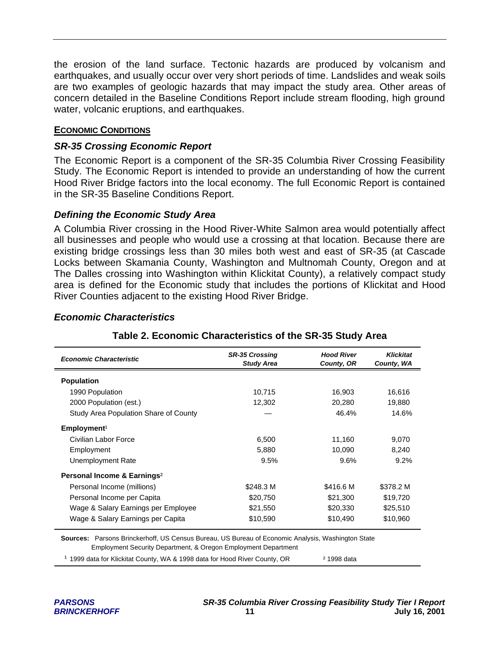the erosion of the land surface. Tectonic hazards are produced by volcanism and earthquakes, and usually occur over very short periods of time. Landslides and weak soils are two examples of geologic hazards that may impact the study area. Other areas of concern detailed in the Baseline Conditions Report include stream flooding, high ground water, volcanic eruptions, and earthquakes.

#### **ECONOMIC CONDITIONS**

#### *SR-35 Crossing Economic Report*

The Economic Report is a component of the SR-35 Columbia River Crossing Feasibility Study. The Economic Report is intended to provide an understanding of how the current Hood River Bridge factors into the local economy. The full Economic Report is contained in the SR-35 Baseline Conditions Report.

#### *Defining the Economic Study Area*

A Columbia River crossing in the Hood River-White Salmon area would potentially affect all businesses and people who would use a crossing at that location. Because there are existing bridge crossings less than 30 miles both west and east of SR-35 (at Cascade Locks between Skamania County, Washington and Multnomah County, Oregon and at The Dalles crossing into Washington within Klickitat County), a relatively compact study area is defined for the Economic study that includes the portions of Klickitat and Hood River Counties adjacent to the existing Hood River Bridge.

| <b>Economic Characteristic</b>          | <b>SR-35 Crossing</b><br><b>Study Area</b> | <b>Hood River</b><br>County, OR | <b>Klickitat</b><br>County, WA |
|-----------------------------------------|--------------------------------------------|---------------------------------|--------------------------------|
| <b>Population</b>                       |                                            |                                 |                                |
| 1990 Population                         | 10,715                                     | 16,903                          | 16,616                         |
| 2000 Population (est.)                  | 12,302                                     | 20,280                          | 19,880                         |
| Study Area Population Share of County   |                                            | 46.4%                           | 14.6%                          |
| Employment <sup>1</sup>                 |                                            |                                 |                                |
| Civilian Labor Force                    | 6,500                                      | 11,160                          | 9,070                          |
| Employment                              | 5,880                                      | 10,090                          | 8,240                          |
| Unemployment Rate                       | 9.5%                                       | 9.6%                            | 9.2%                           |
| Personal Income & Earnings <sup>2</sup> |                                            |                                 |                                |
| Personal Income (millions)              | \$248.3 M                                  | \$416.6 M                       | \$378.2 M                      |
| Personal Income per Capita              | \$20,750                                   | \$21,300                        | \$19,720                       |
| Wage & Salary Earnings per Employee     | \$21,550                                   | \$20,330                        | \$25,510                       |
| Wage & Salary Earnings per Capita       | \$10,590                                   | \$10,490                        | \$10,960                       |

## *Economic Characteristics*

#### **Table 2. Economic Characteristics of the SR-35 Study Area**

**Sources:** Parsons Brinckerhoff, US Census Bureau, US Bureau of Economic Analysis, Washington State Employment Security Department, & Oregon Employment Department

<sup>1</sup> 1999 data for Klickitat County, WA & 1998 data for Hood River County, OR  $^2$  1998 data

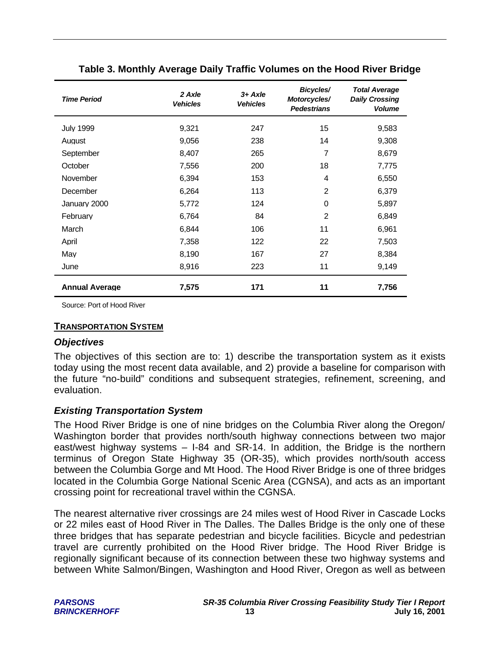| <b>Time Period</b>    | 2 Axle<br><b>Vehicles</b> | 3+ Axle<br><b>Vehicles</b> | Bicycles/<br>Motorcycles/<br><b>Pedestrians</b> | <b>Total Average</b><br><b>Daily Crossing</b><br><b>Volume</b> |
|-----------------------|---------------------------|----------------------------|-------------------------------------------------|----------------------------------------------------------------|
| <b>July 1999</b>      | 9,321                     | 247                        | 15                                              | 9,583                                                          |
| August                | 9,056                     | 238                        | 14                                              | 9,308                                                          |
| September             | 8,407                     | 265                        | 7                                               | 8,679                                                          |
| October               | 7,556                     | 200                        | 18                                              | 7,775                                                          |
| November              | 6,394                     | 153                        | 4                                               | 6,550                                                          |
| December              | 6,264                     | 113                        | 2                                               | 6,379                                                          |
| January 2000          | 5,772                     | 124                        | 0                                               | 5,897                                                          |
| February              | 6,764                     | 84                         | $\overline{2}$                                  | 6,849                                                          |
| March                 | 6,844                     | 106                        | 11                                              | 6,961                                                          |
| April                 | 7,358                     | 122                        | 22                                              | 7,503                                                          |
| May                   | 8,190                     | 167                        | 27                                              | 8,384                                                          |
| June                  | 8,916                     | 223                        | 11                                              | 9,149                                                          |
| <b>Annual Average</b> | 7,575                     | 171                        | 11                                              | 7,756                                                          |

#### **Table 3. Monthly Average Daily Traffic Volumes on the Hood River Bridge**

Source: Port of Hood River

#### **TRANSPORTATION SYSTEM**

#### *Objectives*

The objectives of this section are to: 1) describe the transportation system as it exists today using the most recent data available, and 2) provide a baseline for comparison with the future "no-build" conditions and subsequent strategies, refinement, screening, and evaluation.

#### *Existing Transportation System*

The Hood River Bridge is one of nine bridges on the Columbia River along the Oregon/ Washington border that provides north/south highway connections between two major east/west highway systems – I-84 and SR-14. In addition, the Bridge is the northern terminus of Oregon State Highway 35 (OR-35), which provides north/south access between the Columbia Gorge and Mt Hood. The Hood River Bridge is one of three bridges located in the Columbia Gorge National Scenic Area (CGNSA), and acts as an important crossing point for recreational travel within the CGNSA.

The nearest alternative river crossings are 24 miles west of Hood River in Cascade Locks or 22 miles east of Hood River in The Dalles. The Dalles Bridge is the only one of these three bridges that has separate pedestrian and bicycle facilities. Bicycle and pedestrian travel are currently prohibited on the Hood River bridge. The Hood River Bridge is regionally significant because of its connection between these two highway systems and between White Salmon/Bingen, Washington and Hood River, Oregon as well as between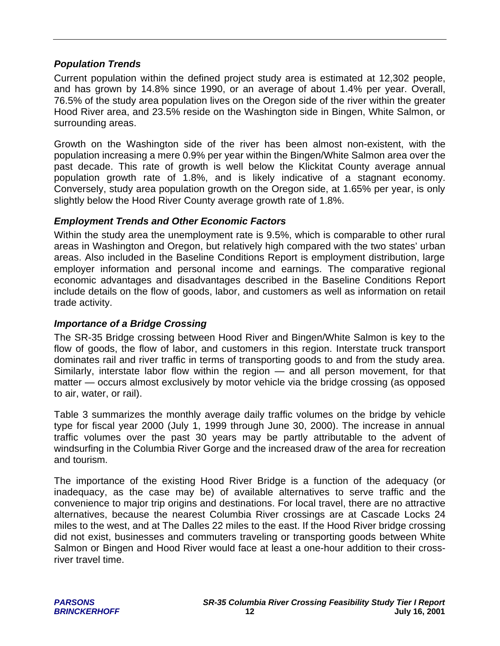#### *Population Trends*

Current population within the defined project study area is estimated at 12,302 people, and has grown by 14.8% since 1990, or an average of about 1.4% per year. Overall, 76.5% of the study area population lives on the Oregon side of the river within the greater Hood River area, and 23.5% reside on the Washington side in Bingen, White Salmon, or surrounding areas.

Growth on the Washington side of the river has been almost non-existent, with the population increasing a mere 0.9% per year within the Bingen/White Salmon area over the past decade. This rate of growth is well below the Klickitat County average annual population growth rate of 1.8%, and is likely indicative of a stagnant economy. Conversely, study area population growth on the Oregon side, at 1.65% per year, is only slightly below the Hood River County average growth rate of 1.8%.

#### *Employment Trends and Other Economic Factors*

Within the study area the unemployment rate is 9.5%, which is comparable to other rural areas in Washington and Oregon, but relatively high compared with the two states' urban areas. Also included in the Baseline Conditions Report is employment distribution, large employer information and personal income and earnings. The comparative regional economic advantages and disadvantages described in the Baseline Conditions Report include details on the flow of goods, labor, and customers as well as information on retail trade activity.

#### *Importance of a Bridge Crossing*

The SR-35 Bridge crossing between Hood River and Bingen/White Salmon is key to the flow of goods, the flow of labor, and customers in this region. Interstate truck transport dominates rail and river traffic in terms of transporting goods to and from the study area. Similarly, interstate labor flow within the region — and all person movement, for that matter — occurs almost exclusively by motor vehicle via the bridge crossing (as opposed to air, water, or rail).

Table 3 summarizes the monthly average daily traffic volumes on the bridge by vehicle type for fiscal year 2000 (July 1, 1999 through June 30, 2000). The increase in annual traffic volumes over the past 30 years may be partly attributable to the advent of windsurfing in the Columbia River Gorge and the increased draw of the area for recreation and tourism.

The importance of the existing Hood River Bridge is a function of the adequacy (or inadequacy, as the case may be) of available alternatives to serve traffic and the convenience to major trip origins and destinations. For local travel, there are no attractive alternatives, because the nearest Columbia River crossings are at Cascade Locks 24 miles to the west, and at The Dalles 22 miles to the east. If the Hood River bridge crossing did not exist, businesses and commuters traveling or transporting goods between White Salmon or Bingen and Hood River would face at least a one-hour addition to their crossriver travel time.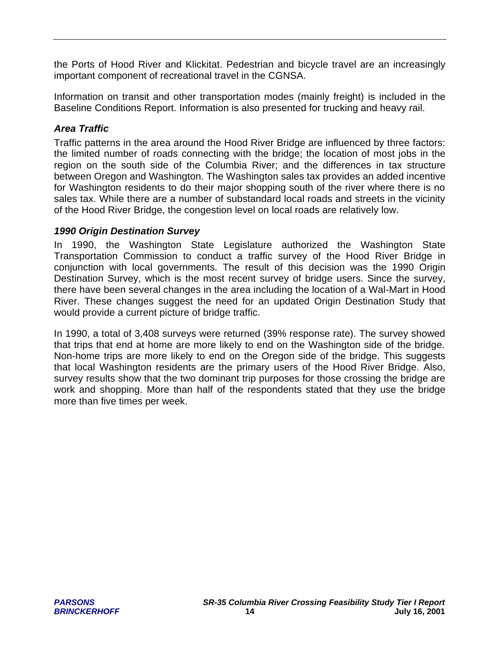the Ports of Hood River and Klickitat. Pedestrian and bicycle travel are an increasingly important component of recreational travel in the CGNSA.

Information on transit and other transportation modes (mainly freight) is included in the Baseline Conditions Report. Information is also presented for trucking and heavy rail.

## *Area Traffic*

Traffic patterns in the area around the Hood River Bridge are influenced by three factors: the limited number of roads connecting with the bridge; the location of most jobs in the region on the south side of the Columbia River; and the differences in tax structure between Oregon and Washington. The Washington sales tax provides an added incentive for Washington residents to do their major shopping south of the river where there is no sales tax. While there are a number of substandard local roads and streets in the vicinity of the Hood River Bridge, the congestion level on local roads are relatively low.

#### *1990 Origin Destination Survey*

In 1990, the Washington State Legislature authorized the Washington State Transportation Commission to conduct a traffic survey of the Hood River Bridge in conjunction with local governments. The result of this decision was the 1990 Origin Destination Survey, which is the most recent survey of bridge users. Since the survey, there have been several changes in the area including the location of a Wal-Mart in Hood River. These changes suggest the need for an updated Origin Destination Study that would provide a current picture of bridge traffic.

In 1990, a total of 3,408 surveys were returned (39% response rate). The survey showed that trips that end at home are more likely to end on the Washington side of the bridge. Non-home trips are more likely to end on the Oregon side of the bridge. This suggests that local Washington residents are the primary users of the Hood River Bridge. Also, survey results show that the two dominant trip purposes for those crossing the bridge are work and shopping. More than half of the respondents stated that they use the bridge more than five times per week.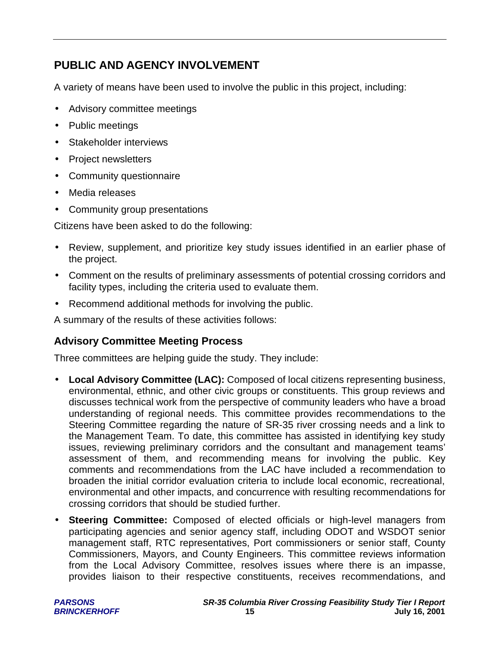## **PUBLIC AND AGENCY INVOLVEMENT**

A variety of means have been used to involve the public in this project, including:

- Advisory committee meetings
- Public meetings
- Stakeholder interviews
- Project newsletters
- Community questionnaire
- Media releases
- Community group presentations

Citizens have been asked to do the following:

- Review, supplement, and prioritize key study issues identified in an earlier phase of the project.
- Comment on the results of preliminary assessments of potential crossing corridors and facility types, including the criteria used to evaluate them.
- Recommend additional methods for involving the public.

A summary of the results of these activities follows:

## **Advisory Committee Meeting Process**

Three committees are helping guide the study. They include:

- **Local Advisory Committee (LAC):** Composed of local citizens representing business, environmental, ethnic, and other civic groups or constituents. This group reviews and discusses technical work from the perspective of community leaders who have a broad understanding of regional needs. This committee provides recommendations to the Steering Committee regarding the nature of SR-35 river crossing needs and a link to the Management Team. To date, this committee has assisted in identifying key study issues, reviewing preliminary corridors and the consultant and management teams' assessment of them, and recommending means for involving the public. Key comments and recommendations from the LAC have included a recommendation to broaden the initial corridor evaluation criteria to include local economic, recreational, environmental and other impacts, and concurrence with resulting recommendations for crossing corridors that should be studied further.
- **Steering Committee:** Composed of elected officials or high-level managers from participating agencies and senior agency staff, including ODOT and WSDOT senior management staff, RTC representatives, Port commissioners or senior staff, County Commissioners, Mayors, and County Engineers. This committee reviews information from the Local Advisory Committee, resolves issues where there is an impasse, provides liaison to their respective constituents, receives recommendations, and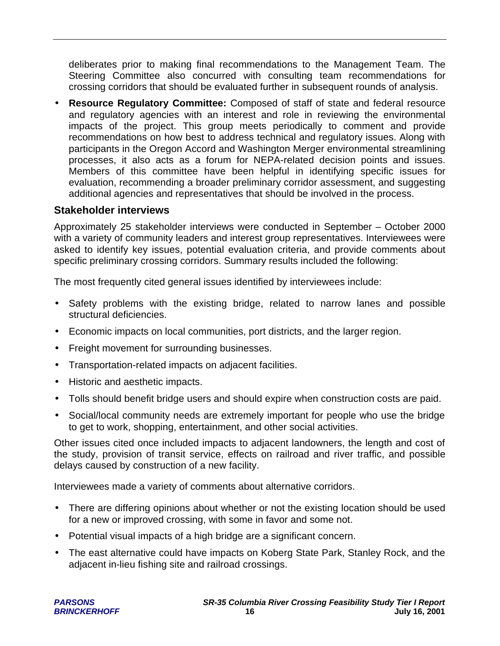deliberates prior to making final recommendations to the Management Team. The Steering Committee also concurred with consulting team recommendations for crossing corridors that should be evaluated further in subsequent rounds of analysis.

• **Resource Regulatory Committee:** Composed of staff of state and federal resource and regulatory agencies with an interest and role in reviewing the environmental impacts of the project. This group meets periodically to comment and provide recommendations on how best to address technical and regulatory issues. Along with participants in the Oregon Accord and Washington Merger environmental streamlining processes, it also acts as a forum for NEPA-related decision points and issues. Members of this committee have been helpful in identifying specific issues for evaluation, recommending a broader preliminary corridor assessment, and suggesting additional agencies and representatives that should be involved in the process.

## **Stakeholder interviews**

Approximately 25 stakeholder interviews were conducted in September – October 2000 with a variety of community leaders and interest group representatives. Interviewees were asked to identify key issues, potential evaluation criteria, and provide comments about specific preliminary crossing corridors. Summary results included the following:

The most frequently cited general issues identified by interviewees include:

- Safety problems with the existing bridge, related to narrow lanes and possible structural deficiencies.
- Economic impacts on local communities, port districts, and the larger region.
- Freight movement for surrounding businesses.
- Transportation-related impacts on adjacent facilities.
- Historic and aesthetic impacts.
- Tolls should benefit bridge users and should expire when construction costs are paid.
- Social/local community needs are extremely important for people who use the bridge to get to work, shopping, entertainment, and other social activities.

Other issues cited once included impacts to adjacent landowners, the length and cost of the study, provision of transit service, effects on railroad and river traffic, and possible delays caused by construction of a new facility.

Interviewees made a variety of comments about alternative corridors.

- There are differing opinions about whether or not the existing location should be used for a new or improved crossing, with some in favor and some not.
- Potential visual impacts of a high bridge are a significant concern.
- The east alternative could have impacts on Koberg State Park, Stanley Rock, and the adjacent in-lieu fishing site and railroad crossings.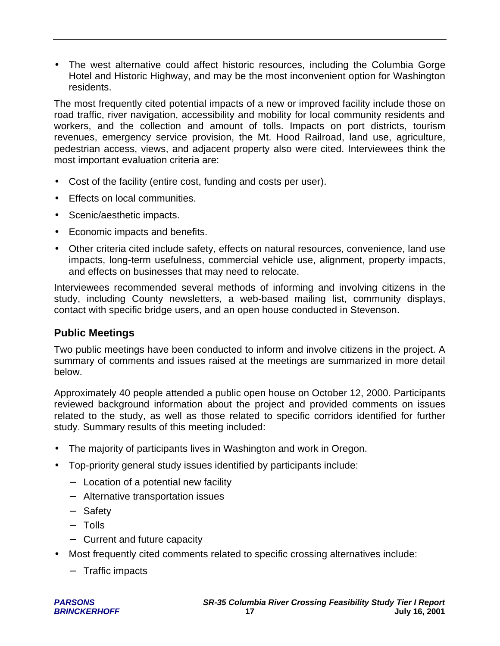• The west alternative could affect historic resources, including the Columbia Gorge Hotel and Historic Highway, and may be the most inconvenient option for Washington residents.

The most frequently cited potential impacts of a new or improved facility include those on road traffic, river navigation, accessibility and mobility for local community residents and workers, and the collection and amount of tolls. Impacts on port districts, tourism revenues, emergency service provision, the Mt. Hood Railroad, land use, agriculture, pedestrian access, views, and adjacent property also were cited. Interviewees think the most important evaluation criteria are:

- Cost of the facility (entire cost, funding and costs per user).
- Effects on local communities.
- Scenic/aesthetic impacts.
- Economic impacts and benefits.
- Other criteria cited include safety, effects on natural resources, convenience, land use impacts, long-term usefulness, commercial vehicle use, alignment, property impacts, and effects on businesses that may need to relocate.

Interviewees recommended several methods of informing and involving citizens in the study, including County newsletters, a web-based mailing list, community displays, contact with specific bridge users, and an open house conducted in Stevenson.

## **Public Meetings**

Two public meetings have been conducted to inform and involve citizens in the project. A summary of comments and issues raised at the meetings are summarized in more detail below.

Approximately 40 people attended a public open house on October 12, 2000. Participants reviewed background information about the project and provided comments on issues related to the study, as well as those related to specific corridors identified for further study. Summary results of this meeting included:

- The majority of participants lives in Washington and work in Oregon.
- Top-priority general study issues identified by participants include:
	- − Location of a potential new facility
	- − Alternative transportation issues
	- − Safety
	- − Tolls
	- − Current and future capacity
- Most frequently cited comments related to specific crossing alternatives include:
	- − Traffic impacts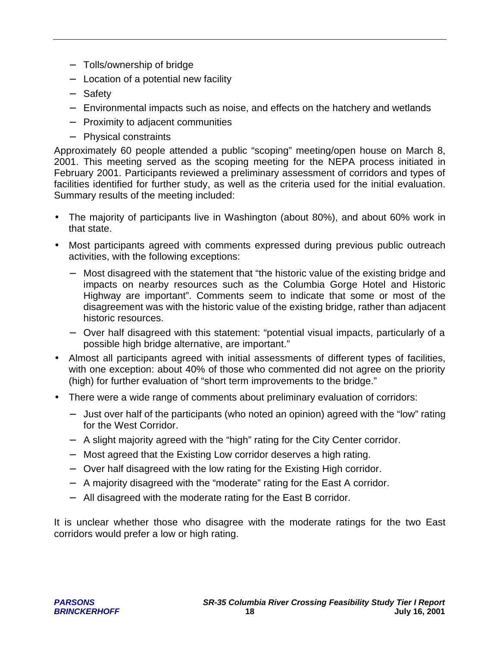- − Tolls/ownership of bridge
- − Location of a potential new facility
- − Safety
- − Environmental impacts such as noise, and effects on the hatchery and wetlands
- − Proximity to adjacent communities
- − Physical constraints

Approximately 60 people attended a public "scoping" meeting/open house on March 8, 2001. This meeting served as the scoping meeting for the NEPA process initiated in February 2001. Participants reviewed a preliminary assessment of corridors and types of facilities identified for further study, as well as the criteria used for the initial evaluation. Summary results of the meeting included:

- The majority of participants live in Washington (about 80%), and about 60% work in that state.
- Most participants agreed with comments expressed during previous public outreach activities, with the following exceptions:
	- − Most disagreed with the statement that "the historic value of the existing bridge and impacts on nearby resources such as the Columbia Gorge Hotel and Historic Highway are important". Comments seem to indicate that some or most of the disagreement was with the historic value of the existing bridge, rather than adjacent historic resources.
	- − Over half disagreed with this statement: "potential visual impacts, particularly of a possible high bridge alternative, are important."
- Almost all participants agreed with initial assessments of different types of facilities, with one exception: about 40% of those who commented did not agree on the priority (high) for further evaluation of "short term improvements to the bridge."
- There were a wide range of comments about preliminary evaluation of corridors:
	- − Just over half of the participants (who noted an opinion) agreed with the "low" rating for the West Corridor.
	- − A slight majority agreed with the "high" rating for the City Center corridor.
	- − Most agreed that the Existing Low corridor deserves a high rating.
	- − Over half disagreed with the low rating for the Existing High corridor.
	- − A majority disagreed with the "moderate" rating for the East A corridor.
	- − All disagreed with the moderate rating for the East B corridor.

It is unclear whether those who disagree with the moderate ratings for the two East corridors would prefer a low or high rating.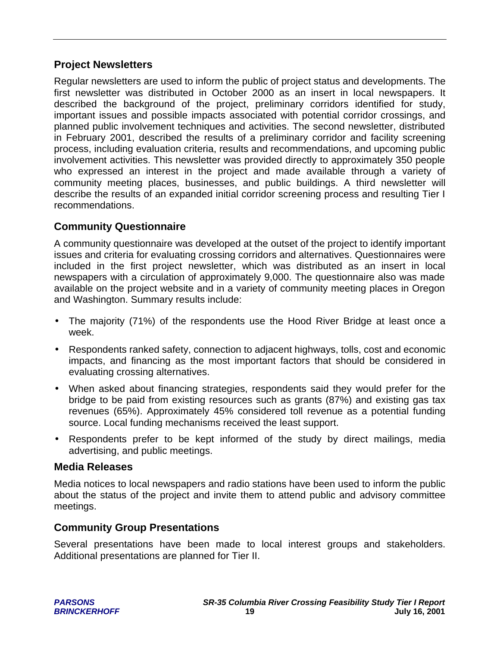## **Project Newsletters**

Regular newsletters are used to inform the public of project status and developments. The first newsletter was distributed in October 2000 as an insert in local newspapers. It described the background of the project, preliminary corridors identified for study, important issues and possible impacts associated with potential corridor crossings, and planned public involvement techniques and activities. The second newsletter, distributed in February 2001, described the results of a preliminary corridor and facility screening process, including evaluation criteria, results and recommendations, and upcoming public involvement activities. This newsletter was provided directly to approximately 350 people who expressed an interest in the project and made available through a variety of community meeting places, businesses, and public buildings. A third newsletter will describe the results of an expanded initial corridor screening process and resulting Tier I recommendations.

## **Community Questionnaire**

A community questionnaire was developed at the outset of the project to identify important issues and criteria for evaluating crossing corridors and alternatives. Questionnaires were included in the first project newsletter, which was distributed as an insert in local newspapers with a circulation of approximately 9,000. The questionnaire also was made available on the project website and in a variety of community meeting places in Oregon and Washington. Summary results include:

- The majority (71%) of the respondents use the Hood River Bridge at least once a week.
- Respondents ranked safety, connection to adjacent highways, tolls, cost and economic impacts, and financing as the most important factors that should be considered in evaluating crossing alternatives.
- When asked about financing strategies, respondents said they would prefer for the bridge to be paid from existing resources such as grants (87%) and existing gas tax revenues (65%). Approximately 45% considered toll revenue as a potential funding source. Local funding mechanisms received the least support.
- Respondents prefer to be kept informed of the study by direct mailings, media advertising, and public meetings.

## **Media Releases**

Media notices to local newspapers and radio stations have been used to inform the public about the status of the project and invite them to attend public and advisory committee meetings.

## **Community Group Presentations**

Several presentations have been made to local interest groups and stakeholders. Additional presentations are planned for Tier II.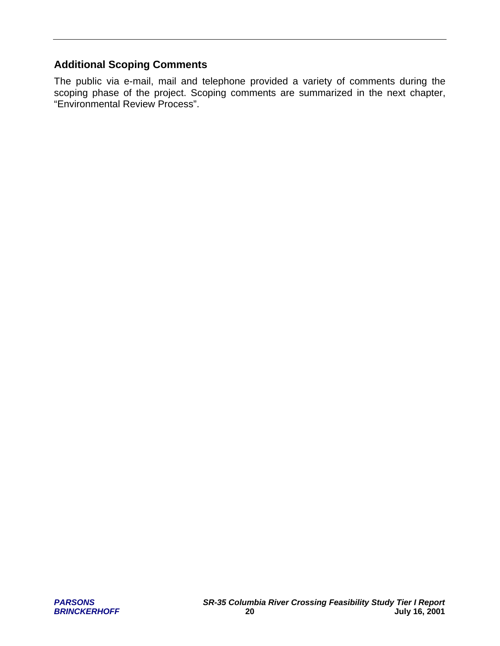## **Additional Scoping Comments**

The public via e-mail, mail and telephone provided a variety of comments during the scoping phase of the project. Scoping comments are summarized in the next chapter, "Environmental Review Process".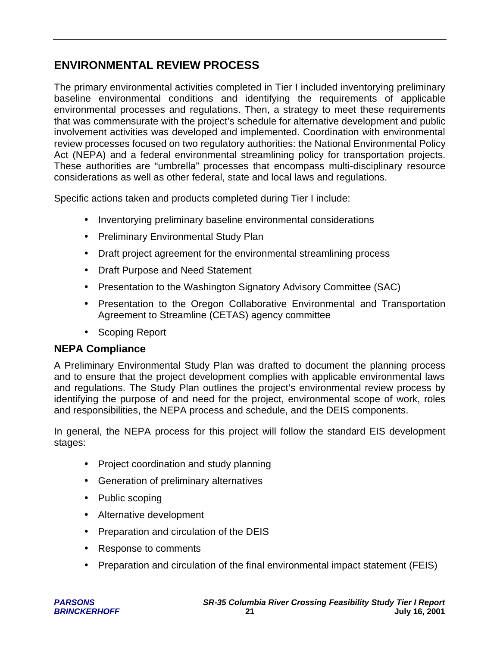## **ENVIRONMENTAL REVIEW PROCESS**

The primary environmental activities completed in Tier I included inventorying preliminary baseline environmental conditions and identifying the requirements of applicable environmental processes and regulations. Then, a strategy to meet these requirements that was commensurate with the project's schedule for alternative development and public involvement activities was developed and implemented. Coordination with environmental review processes focused on two regulatory authorities: the National Environmental Policy Act (NEPA) and a federal environmental streamlining policy for transportation projects. These authorities are "umbrella" processes that encompass multi-disciplinary resource considerations as well as other federal, state and local laws and regulations.

Specific actions taken and products completed during Tier I include:

- Inventorying preliminary baseline environmental considerations
- Preliminary Environmental Study Plan
- Draft project agreement for the environmental streamlining process
- Draft Purpose and Need Statement
- Presentation to the Washington Signatory Advisory Committee (SAC)
- Presentation to the Oregon Collaborative Environmental and Transportation Agreement to Streamline (CETAS) agency committee
- Scoping Report

## **NEPA Compliance**

A Preliminary Environmental Study Plan was drafted to document the planning process and to ensure that the project development complies with applicable environmental laws and regulations. The Study Plan outlines the project's environmental review process by identifying the purpose of and need for the project, environmental scope of work, roles and responsibilities, the NEPA process and schedule, and the DEIS components.

In general, the NEPA process for this project will follow the standard EIS development stages:

- Project coordination and study planning
- Generation of preliminary alternatives
- Public scoping
- Alternative development
- Preparation and circulation of the DEIS
- Response to comments
- Preparation and circulation of the final environmental impact statement (FEIS)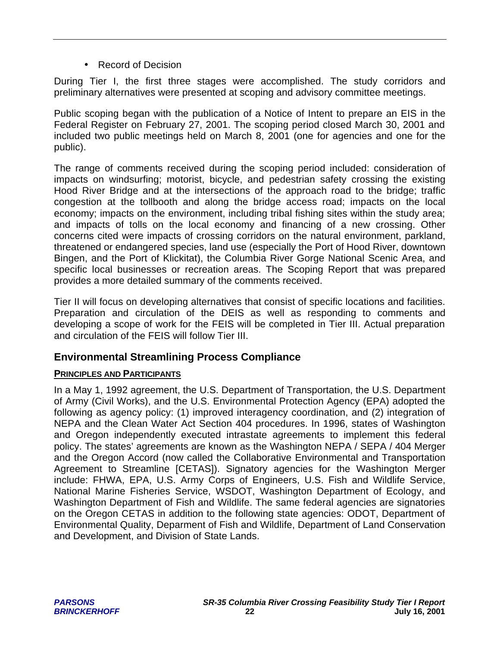• Record of Decision

During Tier I, the first three stages were accomplished. The study corridors and preliminary alternatives were presented at scoping and advisory committee meetings.

Public scoping began with the publication of a Notice of Intent to prepare an EIS in the Federal Register on February 27, 2001. The scoping period closed March 30, 2001 and included two public meetings held on March 8, 2001 (one for agencies and one for the public).

The range of comments received during the scoping period included: consideration of impacts on windsurfing; motorist, bicycle, and pedestrian safety crossing the existing Hood River Bridge and at the intersections of the approach road to the bridge; traffic congestion at the tollbooth and along the bridge access road; impacts on the local economy; impacts on the environment, including tribal fishing sites within the study area; and impacts of tolls on the local economy and financing of a new crossing. Other concerns cited were impacts of crossing corridors on the natural environment, parkland, threatened or endangered species, land use (especially the Port of Hood River, downtown Bingen, and the Port of Klickitat), the Columbia River Gorge National Scenic Area, and specific local businesses or recreation areas. The Scoping Report that was prepared provides a more detailed summary of the comments received.

Tier II will focus on developing alternatives that consist of specific locations and facilities. Preparation and circulation of the DEIS as well as responding to comments and developing a scope of work for the FEIS will be completed in Tier III. Actual preparation and circulation of the FEIS will follow Tier III.

## **Environmental Streamlining Process Compliance**

## **PRINCIPLES AND PARTICIPANTS**

In a May 1, 1992 agreement, the U.S. Department of Transportation, the U.S. Department of Army (Civil Works), and the U.S. Environmental Protection Agency (EPA) adopted the following as agency policy: (1) improved interagency coordination, and (2) integration of NEPA and the Clean Water Act Section 404 procedures. In 1996, states of Washington and Oregon independently executed intrastate agreements to implement this federal policy. The states' agreements are known as the Washington NEPA / SEPA / 404 Merger and the Oregon Accord (now called the Collaborative Environmental and Transportation Agreement to Streamline [CETAS]). Signatory agencies for the Washington Merger include: FHWA, EPA, U.S. Army Corps of Engineers, U.S. Fish and Wildlife Service, National Marine Fisheries Service, WSDOT, Washington Department of Ecology, and Washington Department of Fish and Wildlife. The same federal agencies are signatories on the Oregon CETAS in addition to the following state agencies: ODOT, Department of Environmental Quality, Deparment of Fish and Wildlife, Department of Land Conservation and Development, and Division of State Lands.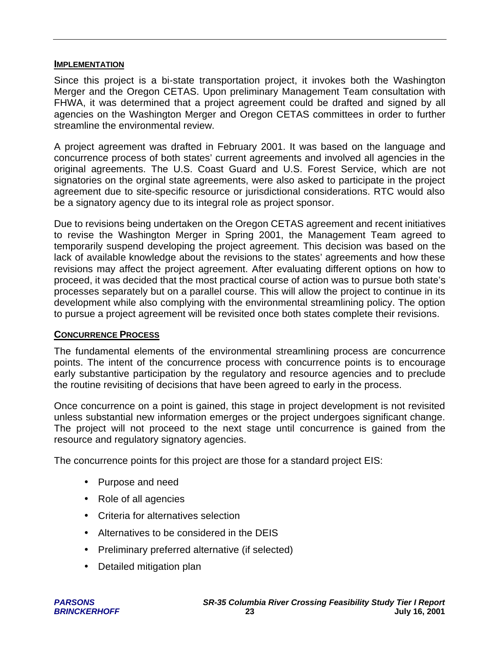#### **IMPLEMENTATION**

Since this project is a bi-state transportation project, it invokes both the Washington Merger and the Oregon CETAS. Upon preliminary Management Team consultation with FHWA, it was determined that a project agreement could be drafted and signed by all agencies on the Washington Merger and Oregon CETAS committees in order to further streamline the environmental review.

A project agreement was drafted in February 2001. It was based on the language and concurrence process of both states' current agreements and involved all agencies in the original agreements. The U.S. Coast Guard and U.S. Forest Service, which are not signatories on the orginal state agreements, were also asked to participate in the project agreement due to site-specific resource or jurisdictional considerations. RTC would also be a signatory agency due to its integral role as project sponsor.

Due to revisions being undertaken on the Oregon CETAS agreement and recent initiatives to revise the Washington Merger in Spring 2001, the Management Team agreed to temporarily suspend developing the project agreement. This decision was based on the lack of available knowledge about the revisions to the states' agreements and how these revisions may affect the project agreement. After evaluating different options on how to proceed, it was decided that the most practical course of action was to pursue both state's processes separately but on a parallel course. This will allow the project to continue in its development while also complying with the environmental streamlining policy. The option to pursue a project agreement will be revisited once both states complete their revisions.

#### **CONCURRENCE PROCESS**

The fundamental elements of the environmental streamlining process are concurrence points. The intent of the concurrence process with concurrence points is to encourage early substantive participation by the regulatory and resource agencies and to preclude the routine revisiting of decisions that have been agreed to early in the process.

Once concurrence on a point is gained, this stage in project development is not revisited unless substantial new information emerges or the project undergoes significant change. The project will not proceed to the next stage until concurrence is gained from the resource and regulatory signatory agencies.

The concurrence points for this project are those for a standard project EIS:

- Purpose and need
- Role of all agencies
- Criteria for alternatives selection
- Alternatives to be considered in the DEIS
- Preliminary preferred alternative (if selected)
- Detailed mitigation plan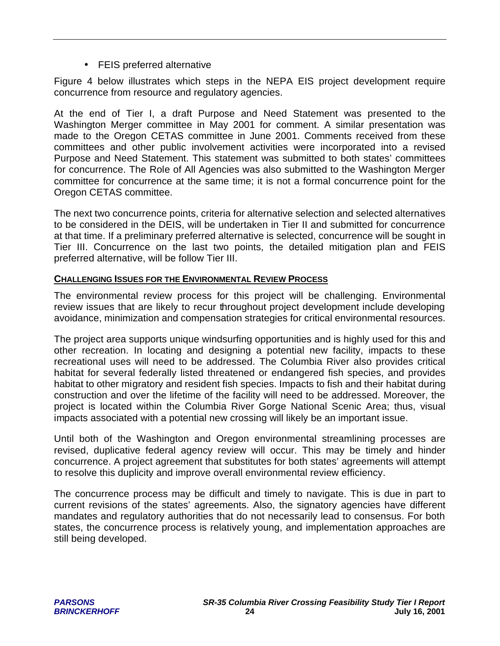• FEIS preferred alternative

Figure 4 below illustrates which steps in the NEPA EIS project development require concurrence from resource and regulatory agencies.

At the end of Tier I, a draft Purpose and Need Statement was presented to the Washington Merger committee in May 2001 for comment. A similar presentation was made to the Oregon CETAS committee in June 2001. Comments received from these committees and other public involvement activities were incorporated into a revised Purpose and Need Statement. This statement was submitted to both states' committees for concurrence. The Role of All Agencies was also submitted to the Washington Merger committee for concurrence at the same time; it is not a formal concurrence point for the Oregon CETAS committee.

The next two concurrence points, criteria for alternative selection and selected alternatives to be considered in the DEIS, will be undertaken in Tier II and submitted for concurrence at that time. If a preliminary preferred alternative is selected, concurrence will be sought in Tier III. Concurrence on the last two points, the detailed mitigation plan and FEIS preferred alternative, will be follow Tier III.

## **CHALLENGING ISSUES FOR THE ENVIRONMENTAL REVIEW PROCESS**

The environmental review process for this project will be challenging. Environmental review issues that are likely to recur throughout project development include developing avoidance, minimization and compensation strategies for critical environmental resources.

The project area supports unique windsurfing opportunities and is highly used for this and other recreation. In locating and designing a potential new facility, impacts to these recreational uses will need to be addressed. The Columbia River also provides critical habitat for several federally listed threatened or endangered fish species, and provides habitat to other migratory and resident fish species. Impacts to fish and their habitat during construction and over the lifetime of the facility will need to be addressed. Moreover, the project is located within the Columbia River Gorge National Scenic Area; thus, visual impacts associated with a potential new crossing will likely be an important issue.

Until both of the Washington and Oregon environmental streamlining processes are revised, duplicative federal agency review will occur. This may be timely and hinder concurrence. A project agreement that substitutes for both states' agreements will attempt to resolve this duplicity and improve overall environmental review efficiency.

The concurrence process may be difficult and timely to navigate. This is due in part to current revisions of the states' agreements. Also, the signatory agencies have different mandates and regulatory authorities that do not necessarily lead to consensus. For both states, the concurrence process is relatively young, and implementation approaches are still being developed.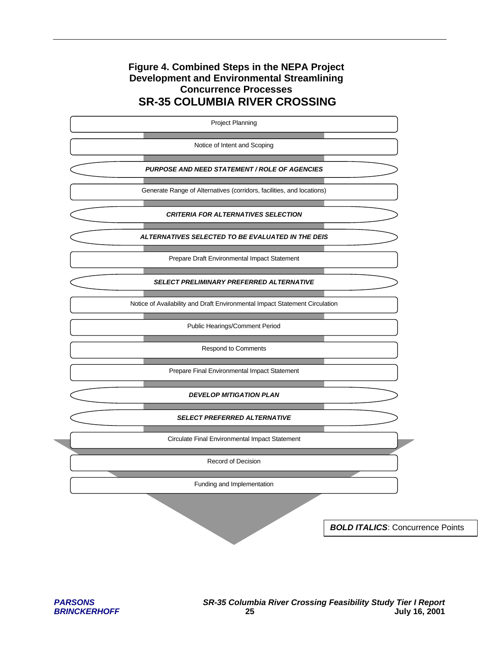#### **Figure 4. Combined Steps in the NEPA Project Development and Environmental Streamlining Concurrence Processes SR-35 COLUMBIA RIVER CROSSING**



**BOLD ITALICS: Concurrence Points**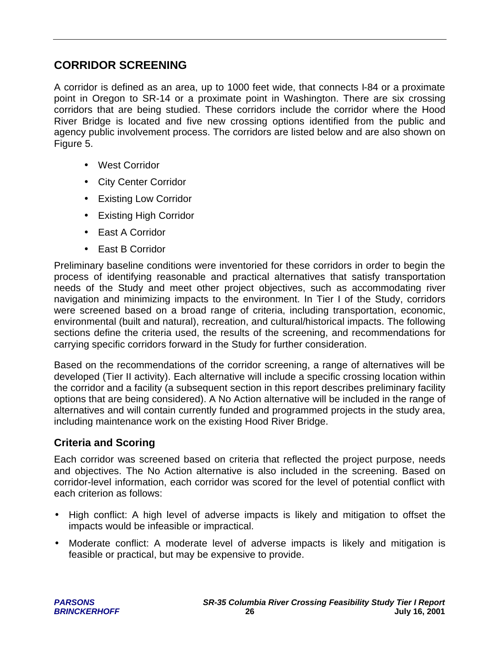## **CORRIDOR SCREENING**

A corridor is defined as an area, up to 1000 feet wide, that connects I-84 or a proximate point in Oregon to SR-14 or a proximate point in Washington. There are six crossing corridors that are being studied. These corridors include the corridor where the Hood River Bridge is located and five new crossing options identified from the public and agency public involvement process. The corridors are listed below and are also shown on Figure 5.

- West Corridor
- City Center Corridor
- Existing Low Corridor
- Existing High Corridor
- East A Corridor
- East B Corridor

Preliminary baseline conditions were inventoried for these corridors in order to begin the process of identifying reasonable and practical alternatives that satisfy transportation needs of the Study and meet other project objectives, such as accommodating river navigation and minimizing impacts to the environment. In Tier I of the Study, corridors were screened based on a broad range of criteria, including transportation, economic, environmental (built and natural), recreation, and cultural/historical impacts. The following sections define the criteria used, the results of the screening, and recommendations for carrying specific corridors forward in the Study for further consideration.

Based on the recommendations of the corridor screening, a range of alternatives will be developed (Tier II activity). Each alternative will include a specific crossing location within the corridor and a facility (a subsequent section in this report describes preliminary facility options that are being considered). A No Action alternative will be included in the range of alternatives and will contain currently funded and programmed projects in the study area, including maintenance work on the existing Hood River Bridge.

## **Criteria and Scoring**

Each corridor was screened based on criteria that reflected the project purpose, needs and objectives. The No Action alternative is also included in the screening. Based on corridor-level information, each corridor was scored for the level of potential conflict with each criterion as follows:

- High conflict: A high level of adverse impacts is likely and mitigation to offset the impacts would be infeasible or impractical.
- Moderate conflict: A moderate level of adverse impacts is likely and mitigation is feasible or practical, but may be expensive to provide.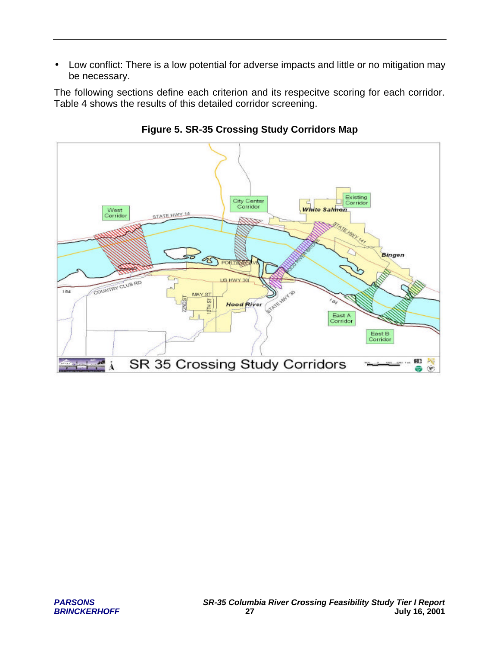• Low conflict: There is a low potential for adverse impacts and little or no mitigation may be necessary.

The following sections define each criterion and its respecitve scoring for each corridor. Table 4 shows the results of this detailed corridor screening.



**Figure 5. SR-35 Crossing Study Corridors Map**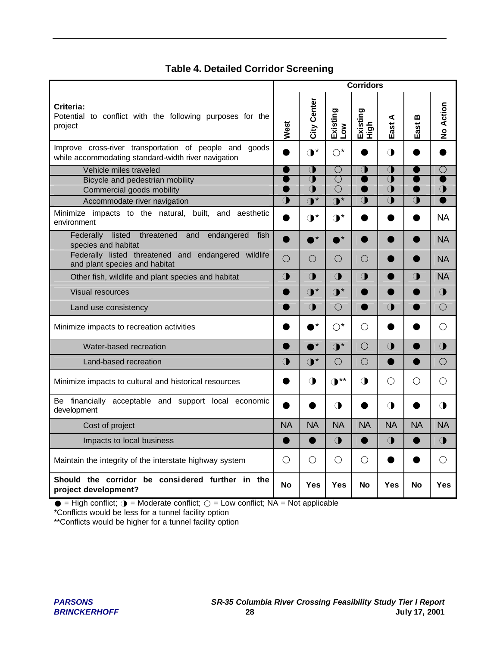## **Table 4. Detailed Corridor Screening**

|                                                                                                               | <b>Corridors</b>        |                      |                       |                  |                                       |                |                  |
|---------------------------------------------------------------------------------------------------------------|-------------------------|----------------------|-----------------------|------------------|---------------------------------------|----------------|------------------|
| Criteria:<br>Potential to conflict with the following purposes for the<br>project                             | West                    | City Center          | Existing<br>Low       | Existing<br>High | ⋖<br>East                             | m<br>East      | No Action        |
| Improve cross-river transportation of people and goods<br>while accommodating standard-width river navigation |                         | $\mathbf{O}^*$       | $\bigcirc^*$          |                  | ◑                                     |                |                  |
| Vehicle miles traveled                                                                                        |                         | O                    | $\bigcirc$            | ◑                | $\bigcirc$                            |                | ◯                |
| Bicycle and pedestrian mobility                                                                               |                         | ◑                    | $\overline{\bigcirc}$ |                  | ◑                                     |                |                  |
| Commercial goods mobility                                                                                     | $\overline{\mathbf{O}}$ | C                    | $\overline{\bigcirc}$ |                  | $\bigcirc$<br>$\overline{\mathbf{O}}$ |                | $\bigcirc$       |
| Accommodate river navigation                                                                                  |                         | $\mathbf{O}^*$       | $\overline{O}^*$      | $\overline{O}$   |                                       | $\overline{O}$ |                  |
| Minimize impacts to the natural, built, and aesthetic<br>environment                                          |                         | $\mathbf{O}^{\star}$ | $\mathbf{O}^\star$    |                  |                                       |                | <b>NA</b>        |
| listed<br>threatened and<br>Federally<br>endangered<br>fish<br>species and habitat                            | ●                       | $\star$              | $\star$               |                  |                                       |                | <b>NA</b>        |
| Federally listed threatened and endangered wildlife<br>and plant species and habitat                          | $\bigcirc$              | $\bigcirc$           | $\bigcirc$            | О                |                                       |                | <b>NA</b>        |
| Other fish, wildlife and plant species and habitat                                                            |                         | $\bigodot$           | $\bigodot$            | $\bigcirc$       |                                       | $\bigcirc$     | <b>NA</b>        |
| Visual resources                                                                                              |                         | $\mathbf{O}^*$       | $\mathbf{O}^*$        | ●                |                                       | ●              | $\bigcirc$       |
| Land use consistency                                                                                          |                         | ◑                    | $\bigcirc$            |                  | $\bigcirc$                            |                | O                |
| Minimize impacts to recreation activities                                                                     |                         |                      | $\bigcirc^*$          | $\left(\right)$  |                                       |                | $\left( \right)$ |
| Water-based recreation                                                                                        |                         | $\star$              | $\mathbf{O}^*$        | $\bigcirc$       | $\bigcirc$                            |                | $\bigodot$       |
| Land-based recreation                                                                                         | $\bigcirc$              | $\mathbf{O}^*$       | $\bigcirc$            | $\bigcirc$       | $\bullet$                             | ●              | $\bigcirc$       |
| Minimize impacts to cultural and historical resources                                                         |                         | $\bigcirc$           | $\mathbf{O}^{**}$     | ◑                | О                                     | $\bigcirc$     | О                |
| Be financially acceptable and support local economic<br>development                                           |                         |                      | ◑                     | $\bullet$        | $\bigcirc$                            |                | $\bigcirc$       |
| Cost of project                                                                                               | <b>NA</b>               | <b>NA</b>            | <b>NA</b>             | <b>NA</b>        | NA.                                   | <b>NA</b>      | <b>NA</b>        |
| Impacts to local business                                                                                     | O                       | ●                    | $\bigodot$            | ●                | $\bigcirc$                            | ●              | $\bigcirc$       |
| Maintain the integrity of the interstate highway system                                                       | $\bigcirc$              | $\bigcirc$           | $\bigcirc$            | $\bigcirc$       |                                       |                | ∩                |
| Should the corridor be considered further in the<br>project development?                                      | No                      | Yes                  | Yes                   | No               | Yes                                   | No             | Yes              |

 $\bullet$  = High conflict;  $\bullet$  = Moderate conflict;  $\circ$  = Low conflict; NA = Not applicable

\*Conflicts would be less for a tunnel facility option

\*\*Conflicts would be higher for a tunnel facility option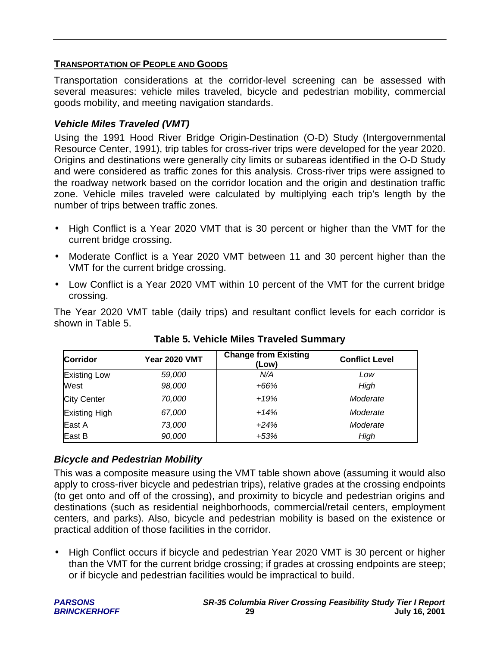## **TRANSPORTATION OF PEOPLE AND GOODS**

Transportation considerations at the corridor-level screening can be assessed with several measures: vehicle miles traveled, bicycle and pedestrian mobility, commercial goods mobility, and meeting navigation standards.

## *Vehicle Miles Traveled (VMT)*

Using the 1991 Hood River Bridge Origin-Destination (O-D) Study (Intergovernmental Resource Center, 1991), trip tables for cross-river trips were developed for the year 2020. Origins and destinations were generally city limits or subareas identified in the O-D Study and were considered as traffic zones for this analysis. Cross-river trips were assigned to the roadway network based on the corridor location and the origin and destination traffic zone. Vehicle miles traveled were calculated by multiplying each trip's length by the number of trips between traffic zones.

- High Conflict is a Year 2020 VMT that is 30 percent or higher than the VMT for the current bridge crossing.
- Moderate Conflict is a Year 2020 VMT between 11 and 30 percent higher than the VMT for the current bridge crossing.
- Low Conflict is a Year 2020 VMT within 10 percent of the VMT for the current bridge crossing.

The Year 2020 VMT table (daily trips) and resultant conflict levels for each corridor is shown in Table 5.

| <b>Corridor</b>     | <b>Year 2020 VMT</b> | <b>Change from Existing</b><br>(Low) | <b>Conflict Level</b> |
|---------------------|----------------------|--------------------------------------|-----------------------|
| <b>Existing Low</b> | 59,000               | N/A                                  | Low                   |
| West                | 98,000               | +66%                                 | High                  |
| <b>City Center</b>  | 70,000               | $+19%$                               | Moderate              |
| Existing High       | 67,000               | $+14%$                               | Moderate              |
| East A              | 73,000               | $+24%$                               | Moderate              |
| East B              | 90,000               | $+53%$                               | High                  |

**Table 5. Vehicle Miles Traveled Summary**

## *Bicycle and Pedestrian Mobility*

This was a composite measure using the VMT table shown above (assuming it would also apply to cross-river bicycle and pedestrian trips), relative grades at the crossing endpoints (to get onto and off of the crossing), and proximity to bicycle and pedestrian origins and destinations (such as residential neighborhoods, commercial/retail centers, employment centers, and parks). Also, bicycle and pedestrian mobility is based on the existence or practical addition of those facilities in the corridor.

• High Conflict occurs if bicycle and pedestrian Year 2020 VMT is 30 percent or higher than the VMT for the current bridge crossing; if grades at crossing endpoints are steep; or if bicycle and pedestrian facilities would be impractical to build.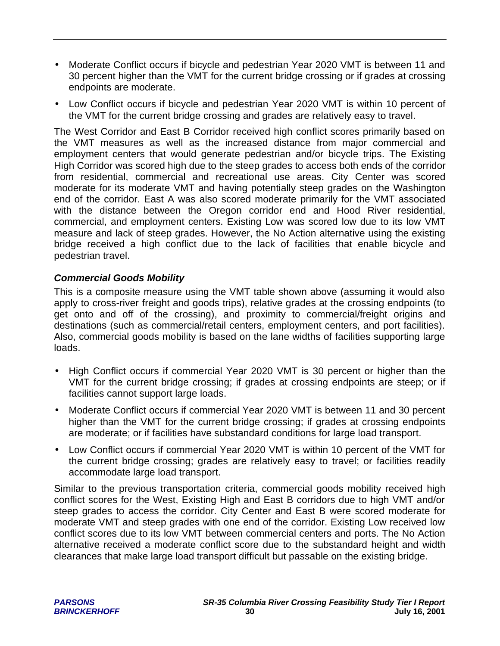- Moderate Conflict occurs if bicycle and pedestrian Year 2020 VMT is between 11 and 30 percent higher than the VMT for the current bridge crossing or if grades at crossing endpoints are moderate.
- Low Conflict occurs if bicycle and pedestrian Year 2020 VMT is within 10 percent of the VMT for the current bridge crossing and grades are relatively easy to travel.

The West Corridor and East B Corridor received high conflict scores primarily based on the VMT measures as well as the increased distance from major commercial and employment centers that would generate pedestrian and/or bicycle trips. The Existing High Corridor was scored high due to the steep grades to access both ends of the corridor from residential, commercial and recreational use areas. City Center was scored moderate for its moderate VMT and having potentially steep grades on the Washington end of the corridor. East A was also scored moderate primarily for the VMT associated with the distance between the Oregon corridor end and Hood River residential, commercial, and employment centers. Existing Low was scored low due to its low VMT measure and lack of steep grades. However, the No Action alternative using the existing bridge received a high conflict due to the lack of facilities that enable bicycle and pedestrian travel.

## *Commercial Goods Mobility*

This is a composite measure using the VMT table shown above (assuming it would also apply to cross-river freight and goods trips), relative grades at the crossing endpoints (to get onto and off of the crossing), and proximity to commercial/freight origins and destinations (such as commercial/retail centers, employment centers, and port facilities). Also, commercial goods mobility is based on the lane widths of facilities supporting large loads.

- High Conflict occurs if commercial Year 2020 VMT is 30 percent or higher than the VMT for the current bridge crossing; if grades at crossing endpoints are steep; or if facilities cannot support large loads.
- Moderate Conflict occurs if commercial Year 2020 VMT is between 11 and 30 percent higher than the VMT for the current bridge crossing; if grades at crossing endpoints are moderate; or if facilities have substandard conditions for large load transport.
- Low Conflict occurs if commercial Year 2020 VMT is within 10 percent of the VMT for the current bridge crossing; grades are relatively easy to travel; or facilities readily accommodate large load transport.

Similar to the previous transportation criteria, commercial goods mobility received high conflict scores for the West, Existing High and East B corridors due to high VMT and/or steep grades to access the corridor. City Center and East B were scored moderate for moderate VMT and steep grades with one end of the corridor. Existing Low received low conflict scores due to its low VMT between commercial centers and ports. The No Action alternative received a moderate conflict score due to the substandard height and width clearances that make large load transport difficult but passable on the existing bridge.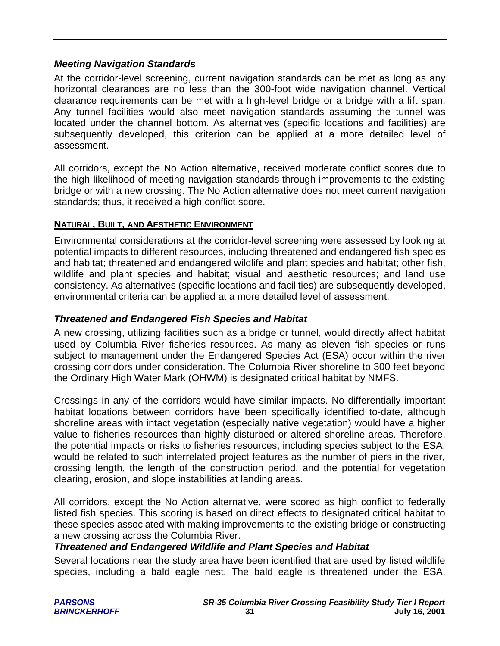#### *Meeting Navigation Standards*

At the corridor-level screening, current navigation standards can be met as long as any horizontal clearances are no less than the 300-foot wide navigation channel. Vertical clearance requirements can be met with a high-level bridge or a bridge with a lift span. Any tunnel facilities would also meet navigation standards assuming the tunnel was located under the channel bottom. As alternatives (specific locations and facilities) are subsequently developed, this criterion can be applied at a more detailed level of assessment.

All corridors, except the No Action alternative, received moderate conflict scores due to the high likelihood of meeting navigation standards through improvements to the existing bridge or with a new crossing. The No Action alternative does not meet current navigation standards; thus, it received a high conflict score.

#### **NATURAL, BUILT, AND AESTHETIC ENVIRONMENT**

Environmental considerations at the corridor-level screening were assessed by looking at potential impacts to different resources, including threatened and endangered fish species and habitat; threatened and endangered wildlife and plant species and habitat; other fish, wildlife and plant species and habitat; visual and aesthetic resources; and land use consistency. As alternatives (specific locations and facilities) are subsequently developed, environmental criteria can be applied at a more detailed level of assessment.

#### *Threatened and Endangered Fish Species and Habitat*

A new crossing, utilizing facilities such as a bridge or tunnel, would directly affect habitat used by Columbia River fisheries resources. As many as eleven fish species or runs subject to management under the Endangered Species Act (ESA) occur within the river crossing corridors under consideration. The Columbia River shoreline to 300 feet beyond the Ordinary High Water Mark (OHWM) is designated critical habitat by NMFS.

Crossings in any of the corridors would have similar impacts. No differentially important habitat locations between corridors have been specifically identified to-date, although shoreline areas with intact vegetation (especially native vegetation) would have a higher value to fisheries resources than highly disturbed or altered shoreline areas. Therefore, the potential impacts or risks to fisheries resources, including species subject to the ESA, would be related to such interrelated project features as the number of piers in the river, crossing length, the length of the construction period, and the potential for vegetation clearing, erosion, and slope instabilities at landing areas.

All corridors, except the No Action alternative, were scored as high conflict to federally listed fish species. This scoring is based on direct effects to designated critical habitat to these species associated with making improvements to the existing bridge or constructing a new crossing across the Columbia River.

#### *Threatened and Endangered Wildlife and Plant Species and Habitat*

Several locations near the study area have been identified that are used by listed wildlife species, including a bald eagle nest. The bald eagle is threatened under the ESA,

| <b>PARSONS</b>      |
|---------------------|
| <b>BRINCKERHOFF</b> |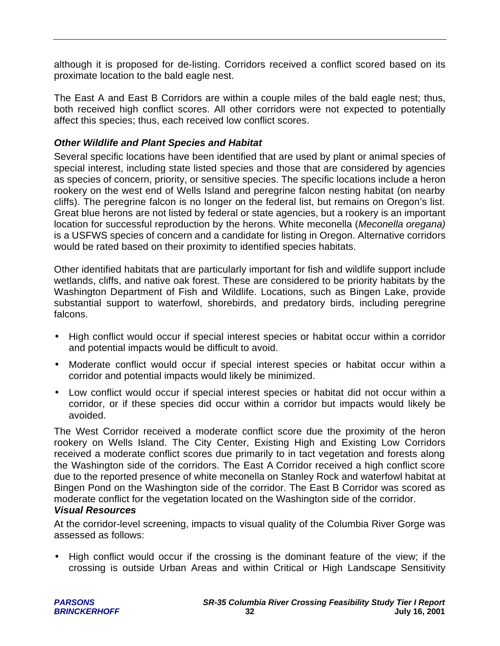although it is proposed for de-listing. Corridors received a conflict scored based on its proximate location to the bald eagle nest.

The East A and East B Corridors are within a couple miles of the bald eagle nest; thus, both received high conflict scores. All other corridors were not expected to potentially affect this species; thus, each received low conflict scores.

## *Other Wildlife and Plant Species and Habitat*

Several specific locations have been identified that are used by plant or animal species of special interest, including state listed species and those that are considered by agencies as species of concern, priority, or sensitive species. The specific locations include a heron rookery on the west end of Wells Island and peregrine falcon nesting habitat (on nearby cliffs). The peregrine falcon is no longer on the federal list, but remains on Oregon's list. Great blue herons are not listed by federal or state agencies, but a rookery is an important location for successful reproduction by the herons. White meconella (*Meconella oregana)* is a USFWS species of concern and a candidate for listing in Oregon. Alternative corridors would be rated based on their proximity to identified species habitats.

Other identified habitats that are particularly important for fish and wildlife support include wetlands, cliffs, and native oak forest. These are considered to be priority habitats by the Washington Department of Fish and Wildlife. Locations, such as Bingen Lake, provide substantial support to waterfowl, shorebirds, and predatory birds, including peregrine falcons.

- High conflict would occur if special interest species or habitat occur within a corridor and potential impacts would be difficult to avoid.
- Moderate conflict would occur if special interest species or habitat occur within a corridor and potential impacts would likely be minimized.
- Low conflict would occur if special interest species or habitat did not occur within a corridor, or if these species did occur within a corridor but impacts would likely be avoided.

The West Corridor received a moderate conflict score due the proximity of the heron rookery on Wells Island. The City Center, Existing High and Existing Low Corridors received a moderate conflict scores due primarily to in tact vegetation and forests along the Washington side of the corridors. The East A Corridor received a high conflict score due to the reported presence of white meconella on Stanley Rock and waterfowl habitat at Bingen Pond on the Washington side of the corridor. The East B Corridor was scored as moderate conflict for the vegetation located on the Washington side of the corridor.

#### *Visual Resources*

At the corridor-level screening, impacts to visual quality of the Columbia River Gorge was assessed as follows:

• High conflict would occur if the crossing is the dominant feature of the view; if the crossing is outside Urban Areas and within Critical or High Landscape Sensitivity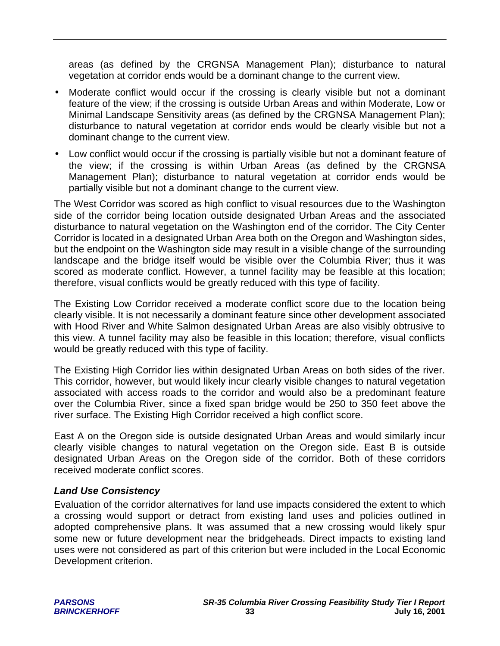areas (as defined by the CRGNSA Management Plan); disturbance to natural vegetation at corridor ends would be a dominant change to the current view.

- Moderate conflict would occur if the crossing is clearly visible but not a dominant feature of the view; if the crossing is outside Urban Areas and within Moderate, Low or Minimal Landscape Sensitivity areas (as defined by the CRGNSA Management Plan); disturbance to natural vegetation at corridor ends would be clearly visible but not a dominant change to the current view.
- Low conflict would occur if the crossing is partially visible but not a dominant feature of the view; if the crossing is within Urban Areas (as defined by the CRGNSA Management Plan); disturbance to natural vegetation at corridor ends would be partially visible but not a dominant change to the current view.

The West Corridor was scored as high conflict to visual resources due to the Washington side of the corridor being location outside designated Urban Areas and the associated disturbance to natural vegetation on the Washington end of the corridor. The City Center Corridor is located in a designated Urban Area both on the Oregon and Washington sides, but the endpoint on the Washington side may result in a visible change of the surrounding landscape and the bridge itself would be visible over the Columbia River; thus it was scored as moderate conflict. However, a tunnel facility may be feasible at this location; therefore, visual conflicts would be greatly reduced with this type of facility.

The Existing Low Corridor received a moderate conflict score due to the location being clearly visible. It is not necessarily a dominant feature since other development associated with Hood River and White Salmon designated Urban Areas are also visibly obtrusive to this view. A tunnel facility may also be feasible in this location; therefore, visual conflicts would be greatly reduced with this type of facility.

The Existing High Corridor lies within designated Urban Areas on both sides of the river. This corridor, however, but would likely incur clearly visible changes to natural vegetation associated with access roads to the corridor and would also be a predominant feature over the Columbia River, since a fixed span bridge would be 250 to 350 feet above the river surface. The Existing High Corridor received a high conflict score.

East A on the Oregon side is outside designated Urban Areas and would similarly incur clearly visible changes to natural vegetation on the Oregon side. East B is outside designated Urban Areas on the Oregon side of the corridor. Both of these corridors received moderate conflict scores.

## *Land Use Consistency*

Evaluation of the corridor alternatives for land use impacts considered the extent to which a crossing would support or detract from existing land uses and policies outlined in adopted comprehensive plans. It was assumed that a new crossing would likely spur some new or future development near the bridgeheads. Direct impacts to existing land uses were not considered as part of this criterion but were included in the Local Economic Development criterion.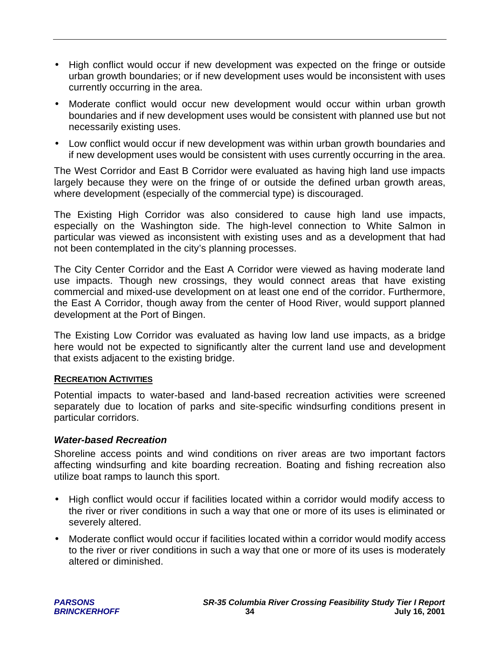- High conflict would occur if new development was expected on the fringe or outside urban growth boundaries; or if new development uses would be inconsistent with uses currently occurring in the area.
- Moderate conflict would occur new development would occur within urban growth boundaries and if new development uses would be consistent with planned use but not necessarily existing uses.
- Low conflict would occur if new development was within urban growth boundaries and if new development uses would be consistent with uses currently occurring in the area.

The West Corridor and East B Corridor were evaluated as having high land use impacts largely because they were on the fringe of or outside the defined urban growth areas, where development (especially of the commercial type) is discouraged.

The Existing High Corridor was also considered to cause high land use impacts, especially on the Washington side. The high-level connection to White Salmon in particular was viewed as inconsistent with existing uses and as a development that had not been contemplated in the city's planning processes.

The City Center Corridor and the East A Corridor were viewed as having moderate land use impacts. Though new crossings, they would connect areas that have existing commercial and mixed-use development on at least one end of the corridor. Furthermore, the East A Corridor, though away from the center of Hood River, would support planned development at the Port of Bingen.

The Existing Low Corridor was evaluated as having low land use impacts, as a bridge here would not be expected to significantly alter the current land use and development that exists adjacent to the existing bridge.

#### **RECREATION ACTIVITIES**

Potential impacts to water-based and land-based recreation activities were screened separately due to location of parks and site-specific windsurfing conditions present in particular corridors.

## *Water-based Recreation*

Shoreline access points and wind conditions on river areas are two important factors affecting windsurfing and kite boarding recreation. Boating and fishing recreation also utilize boat ramps to launch this sport.

- High conflict would occur if facilities located within a corridor would modify access to the river or river conditions in such a way that one or more of its uses is eliminated or severely altered.
- Moderate conflict would occur if facilities located within a corridor would modify access to the river or river conditions in such a way that one or more of its uses is moderately altered or diminished.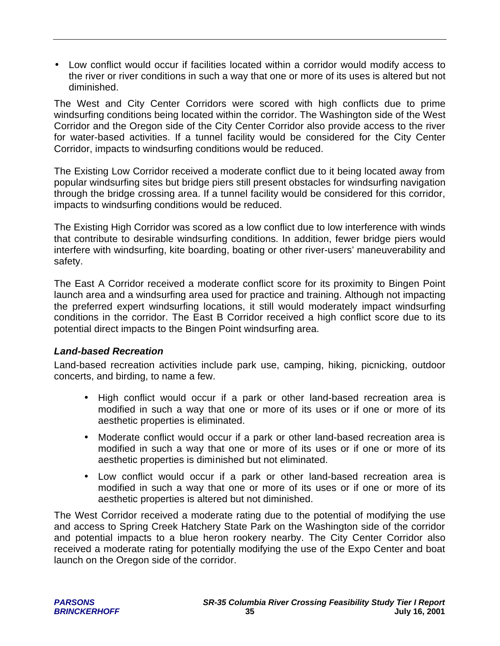• Low conflict would occur if facilities located within a corridor would modify access to the river or river conditions in such a way that one or more of its uses is altered but not diminished.

The West and City Center Corridors were scored with high conflicts due to prime windsurfing conditions being located within the corridor. The Washington side of the West Corridor and the Oregon side of the City Center Corridor also provide access to the river for water-based activities. If a tunnel facility would be considered for the City Center Corridor, impacts to windsurfing conditions would be reduced.

The Existing Low Corridor received a moderate conflict due to it being located away from popular windsurfing sites but bridge piers still present obstacles for windsurfing navigation through the bridge crossing area. If a tunnel facility would be considered for this corridor, impacts to windsurfing conditions would be reduced.

The Existing High Corridor was scored as a low conflict due to low interference with winds that contribute to desirable windsurfing conditions. In addition, fewer bridge piers would interfere with windsurfing, kite boarding, boating or other river-users' maneuverability and safety.

The East A Corridor received a moderate conflict score for its proximity to Bingen Point launch area and a windsurfing area used for practice and training. Although not impacting the preferred expert windsurfing locations, it still would moderately impact windsurfing conditions in the corridor. The East B Corridor received a high conflict score due to its potential direct impacts to the Bingen Point windsurfing area.

## *Land-based Recreation*

Land-based recreation activities include park use, camping, hiking, picnicking, outdoor concerts, and birding, to name a few.

- High conflict would occur if a park or other land-based recreation area is modified in such a way that one or more of its uses or if one or more of its aesthetic properties is eliminated.
- Moderate conflict would occur if a park or other land-based recreation area is modified in such a way that one or more of its uses or if one or more of its aesthetic properties is diminished but not eliminated.
- Low conflict would occur if a park or other land-based recreation area is modified in such a way that one or more of its uses or if one or more of its aesthetic properties is altered but not diminished.

The West Corridor received a moderate rating due to the potential of modifying the use and access to Spring Creek Hatchery State Park on the Washington side of the corridor and potential impacts to a blue heron rookery nearby. The City Center Corridor also received a moderate rating for potentially modifying the use of the Expo Center and boat launch on the Oregon side of the corridor.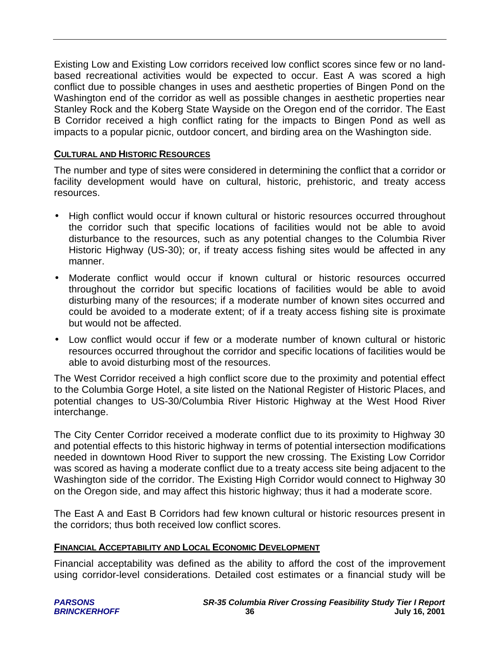Existing Low and Existing Low corridors received low conflict scores since few or no landbased recreational activities would be expected to occur. East A was scored a high conflict due to possible changes in uses and aesthetic properties of Bingen Pond on the Washington end of the corridor as well as possible changes in aesthetic properties near Stanley Rock and the Koberg State Wayside on the Oregon end of the corridor. The East B Corridor received a high conflict rating for the impacts to Bingen Pond as well as impacts to a popular picnic, outdoor concert, and birding area on the Washington side.

#### **CULTURAL AND HISTORIC RESOURCES**

The number and type of sites were considered in determining the conflict that a corridor or facility development would have on cultural, historic, prehistoric, and treaty access resources.

- High conflict would occur if known cultural or historic resources occurred throughout the corridor such that specific locations of facilities would not be able to avoid disturbance to the resources, such as any potential changes to the Columbia River Historic Highway (US-30); or, if treaty access fishing sites would be affected in any manner.
- Moderate conflict would occur if known cultural or historic resources occurred throughout the corridor but specific locations of facilities would be able to avoid disturbing many of the resources; if a moderate number of known sites occurred and could be avoided to a moderate extent; of if a treaty access fishing site is proximate but would not be affected.
- Low conflict would occur if few or a moderate number of known cultural or historic resources occurred throughout the corridor and specific locations of facilities would be able to avoid disturbing most of the resources.

The West Corridor received a high conflict score due to the proximity and potential effect to the Columbia Gorge Hotel, a site listed on the National Register of Historic Places, and potential changes to US-30/Columbia River Historic Highway at the West Hood River interchange.

The City Center Corridor received a moderate conflict due to its proximity to Highway 30 and potential effects to this historic highway in terms of potential intersection modifications needed in downtown Hood River to support the new crossing. The Existing Low Corridor was scored as having a moderate conflict due to a treaty access site being adjacent to the Washington side of the corridor. The Existing High Corridor would connect to Highway 30 on the Oregon side, and may affect this historic highway; thus it had a moderate score.

The East A and East B Corridors had few known cultural or historic resources present in the corridors; thus both received low conflict scores.

#### **FINANCIAL ACCEPTABILITY AND LOCAL ECONOMIC DEVELOPMENT**

Financial acceptability was defined as the ability to afford the cost of the improvement using corridor-level considerations. Detailed cost estimates or a financial study will be

| <b>PARSONS</b>      |
|---------------------|
| <b>BRINCKERHOFF</b> |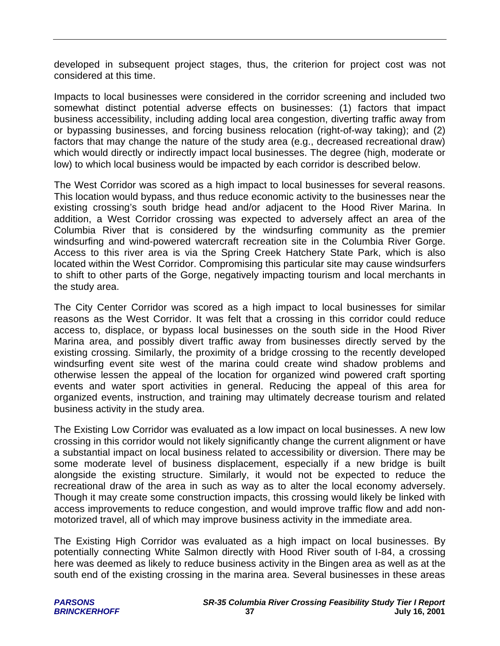developed in subsequent project stages, thus, the criterion for project cost was not considered at this time.

Impacts to local businesses were considered in the corridor screening and included two somewhat distinct potential adverse effects on businesses: (1) factors that impact business accessibility, including adding local area congestion, diverting traffic away from or bypassing businesses, and forcing business relocation (right-of-way taking); and (2) factors that may change the nature of the study area (e.g., decreased recreational draw) which would directly or indirectly impact local businesses. The degree (high, moderate or low) to which local business would be impacted by each corridor is described below.

The West Corridor was scored as a high impact to local businesses for several reasons. This location would bypass, and thus reduce economic activity to the businesses near the existing crossing's south bridge head and/or adjacent to the Hood River Marina. In addition, a West Corridor crossing was expected to adversely affect an area of the Columbia River that is considered by the windsurfing community as the premier windsurfing and wind-powered watercraft recreation site in the Columbia River Gorge. Access to this river area is via the Spring Creek Hatchery State Park, which is also located within the West Corridor. Compromising this particular site may cause windsurfers to shift to other parts of the Gorge, negatively impacting tourism and local merchants in the study area.

The City Center Corridor was scored as a high impact to local businesses for similar reasons as the West Corridor. It was felt that a crossing in this corridor could reduce access to, displace, or bypass local businesses on the south side in the Hood River Marina area, and possibly divert traffic away from businesses directly served by the existing crossing. Similarly, the proximity of a bridge crossing to the recently developed windsurfing event site west of the marina could create wind shadow problems and otherwise lessen the appeal of the location for organized wind powered craft sporting events and water sport activities in general. Reducing the appeal of this area for organized events, instruction, and training may ultimately decrease tourism and related business activity in the study area.

The Existing Low Corridor was evaluated as a low impact on local businesses. A new low crossing in this corridor would not likely significantly change the current alignment or have a substantial impact on local business related to accessibility or diversion. There may be some moderate level of business displacement, especially if a new bridge is built alongside the existing structure. Similarly, it would not be expected to reduce the recreational draw of the area in such as way as to alter the local economy adversely. Though it may create some construction impacts, this crossing would likely be linked with access improvements to reduce congestion, and would improve traffic flow and add nonmotorized travel, all of which may improve business activity in the immediate area.

The Existing High Corridor was evaluated as a high impact on local businesses. By potentially connecting White Salmon directly with Hood River south of I-84, a crossing here was deemed as likely to reduce business activity in the Bingen area as well as at the south end of the existing crossing in the marina area. Several businesses in these areas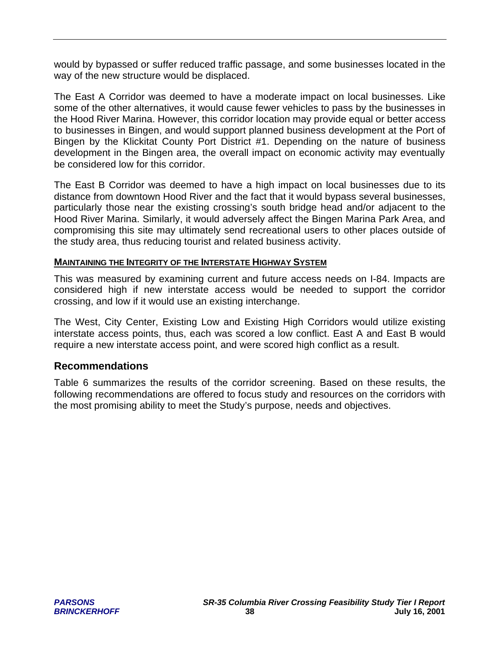would by bypassed or suffer reduced traffic passage, and some businesses located in the way of the new structure would be displaced.

The East A Corridor was deemed to have a moderate impact on local businesses. Like some of the other alternatives, it would cause fewer vehicles to pass by the businesses in the Hood River Marina. However, this corridor location may provide equal or better access to businesses in Bingen, and would support planned business development at the Port of Bingen by the Klickitat County Port District #1. Depending on the nature of business development in the Bingen area, the overall impact on economic activity may eventually be considered low for this corridor.

The East B Corridor was deemed to have a high impact on local businesses due to its distance from downtown Hood River and the fact that it would bypass several businesses, particularly those near the existing crossing's south bridge head and/or adjacent to the Hood River Marina. Similarly, it would adversely affect the Bingen Marina Park Area, and compromising this site may ultimately send recreational users to other places outside of the study area, thus reducing tourist and related business activity.

#### **MAINTAINING THE INTEGRITY OF THE INTERSTATE HIGHWAY SYSTEM**

This was measured by examining current and future access needs on I-84. Impacts are considered high if new interstate access would be needed to support the corridor crossing, and low if it would use an existing interchange.

The West, City Center, Existing Low and Existing High Corridors would utilize existing interstate access points, thus, each was scored a low conflict. East A and East B would require a new interstate access point, and were scored high conflict as a result.

#### **Recommendations**

Table 6 summarizes the results of the corridor screening. Based on these results, the following recommendations are offered to focus study and resources on the corridors with the most promising ability to meet the Study's purpose, needs and objectives.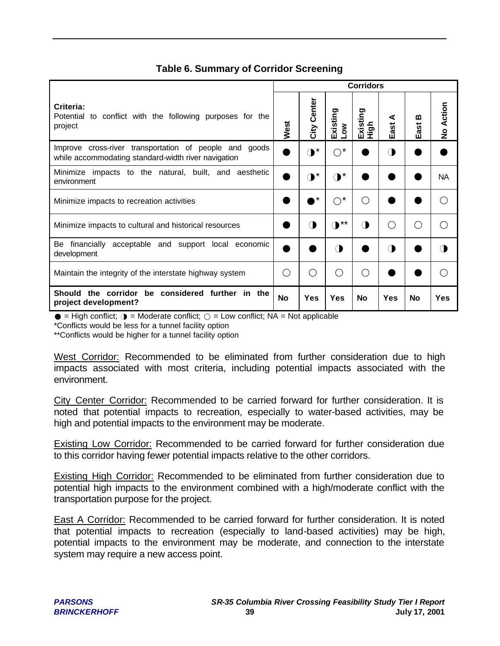## **Table 6. Summary of Corridor Screening**

|                                                                                                                  | <b>Corridors</b> |                |                    |                  |            |                                 |           |
|------------------------------------------------------------------------------------------------------------------|------------------|----------------|--------------------|------------------|------------|---------------------------------|-----------|
| Criteria:<br>Potential<br>to conflict with the following purposes for the<br>project                             | West             | Center<br>City | Existing<br>∑<br>व | Existing<br>Figh | ⋖<br>East  | ≃<br>East                       | No Action |
| Improve cross-river transportation of people and<br>goods<br>while accommodating standard-width river navigation |                  | $\mathbf{O}^*$ | $^\star$<br>⌒      |                  | Œ          |                                 |           |
| impacts to the natural, built, and aesthetic<br>Minimize<br>environment                                          |                  | $\mathbf{O}^*$ | $^\star$           |                  |            |                                 | <b>NA</b> |
| Minimize impacts to recreation activities                                                                        |                  | *              | $^\star$<br>n,     | ◯                |            |                                 |           |
| Minimize impacts to cultural and historical resources                                                            |                  | ( II           | $***$<br>J         | $\bigcirc$       | ( )        | $\left(\begin{array}{c}\right)$ |           |
| Be<br>acceptable and support local economic<br>financially<br>development                                        |                  |                | 'N                 |                  |            |                                 |           |
| Maintain the integrity of the interstate highway system                                                          | ∩                | ( )            | ∩                  | ∩                |            |                                 |           |
| Should the corridor be considered further in the<br>project development?                                         | <b>No</b>        | <b>Yes</b>     | Yes                | <b>No</b>        | <b>Yes</b> | No                              | Yes       |

 $\bullet$  = High conflict;  $\bullet$  = Moderate conflict;  $\circ$  = Low conflict; NA = Not applicable

\*Conflicts would be less for a tunnel facility option

\*\*Conflicts would be higher for a tunnel facility option

West Corridor: Recommended to be eliminated from further consideration due to high impacts associated with most criteria, including potential impacts associated with the environment.

City Center Corridor: Recommended to be carried forward for further consideration. It is noted that potential impacts to recreation, especially to water-based activities, may be high and potential impacts to the environment may be moderate.

Existing Low Corridor: Recommended to be carried forward for further consideration due to this corridor having fewer potential impacts relative to the other corridors.

Existing High Corridor: Recommended to be eliminated from further consideration due to potential high impacts to the environment combined with a high/moderate conflict with the transportation purpose for the project.

East A Corridor: Recommended to be carried forward for further consideration. It is noted that potential impacts to recreation (especially to land-based activities) may be high, potential impacts to the environment may be moderate, and connection to the interstate system may require a new access point.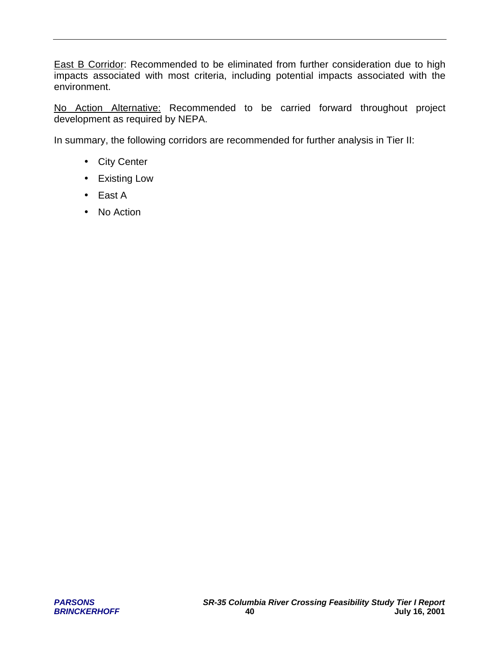East B Corridor: Recommended to be eliminated from further consideration due to high impacts associated with most criteria, including potential impacts associated with the environment.

No Action Alternative: Recommended to be carried forward throughout project development as required by NEPA.

In summary, the following corridors are recommended for further analysis in Tier II:

- City Center
- Existing Low
- East A
- No Action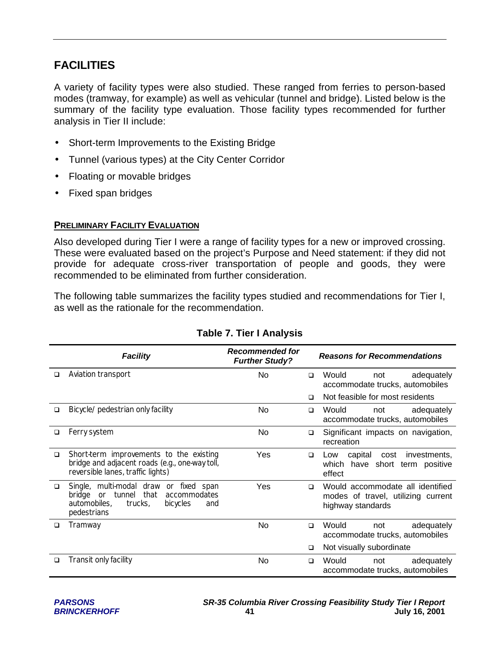## **FACILITIES**

A variety of facility types were also studied. These ranged from ferries to person-based modes (tramway, for example) as well as vehicular (tunnel and bridge). Listed below is the summary of the facility type evaluation. Those facility types recommended for further analysis in Tier II include:

- Short-term Improvements to the Existing Bridge
- Tunnel (various types) at the City Center Corridor
- Floating or movable bridges
- Fixed span bridges

#### **PRELIMINARY FACILITY EVALUATION**

Also developed during Tier I were a range of facility types for a new or improved crossing. These were evaluated based on the project's Purpose and Need statement: if they did not provide for adequate cross-river transportation of people and goods, they were recommended to be eliminated from further consideration.

The following table summarizes the facility types studied and recommendations for Tier I, as well as the rationale for the recommendation.

|        | <b>Facility</b>                                                                                                                                                        | <b>Recommended for</b><br><b>Further Study?</b> |        | <b>Reasons for Recommendations</b>                                                          |
|--------|------------------------------------------------------------------------------------------------------------------------------------------------------------------------|-------------------------------------------------|--------|---------------------------------------------------------------------------------------------|
| ❏      | Aviation transport                                                                                                                                                     | No.                                             | $\Box$ | Would<br>adequately<br>not<br>accommodate trucks, automobiles                               |
|        |                                                                                                                                                                        |                                                 | ◻      | Not feasible for most residents                                                             |
| $\Box$ | Bicycle/pedestrian only facility                                                                                                                                       | No                                              | $\Box$ | Would<br>adequately<br>not<br>accommodate trucks, automobiles                               |
| ❏      | Ferry system                                                                                                                                                           | No.                                             | □      | Significant impacts on navigation,<br>recreation                                            |
| $\Box$ | Short-term improvements to the existing<br>bridge and adjacent roads (e.g., one-way toll,<br>reversible lanes, traffic lights)                                         | Yes                                             | □      | capital<br>investments,<br>cost<br>Low<br>have short term positive<br>which<br>effect       |
| □      | Single, multi-modal draw<br>fixed span<br>or<br>tunnel<br>that<br>bridge<br>accommodates<br><sub>or</sub><br>automobiles,<br>trucks,<br>bicycles<br>and<br>pedestrians | Yes                                             | $\Box$ | Would accommodate all identified<br>modes of travel, utilizing current<br>highway standards |
| □      | Tramway                                                                                                                                                                | <b>No</b>                                       | □      | Would<br>adequately<br>not<br>accommodate trucks, automobiles                               |
|        |                                                                                                                                                                        |                                                 | □      | Not visually subordinate                                                                    |
| ⊔      | Transit only facility                                                                                                                                                  | No                                              | □      | Would<br>adequately<br>not<br>accommodate trucks, automobiles                               |

## **Table 7. Tier I Analysis**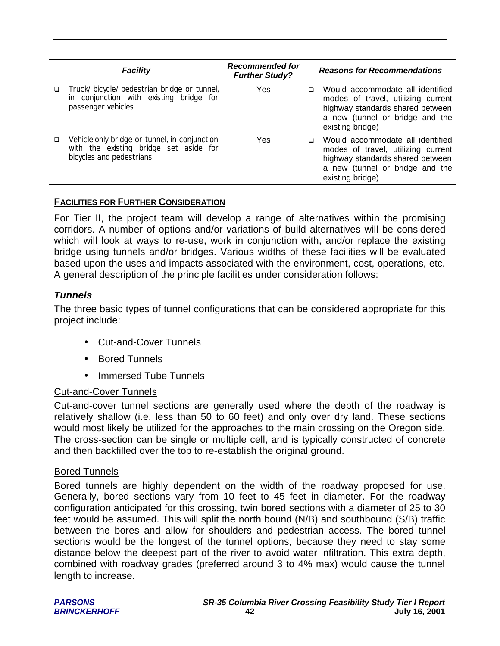|   | <b>Facility</b>                                                                                                     | <b>Recommended for</b><br><b>Further Study?</b> |        | <b>Reasons for Recommendations</b>                                                                                                                                |
|---|---------------------------------------------------------------------------------------------------------------------|-------------------------------------------------|--------|-------------------------------------------------------------------------------------------------------------------------------------------------------------------|
| □ | Truck/bicycle/pedestrian bridge or tunnel,<br>in conjunction with existing bridge for<br>passenger vehicles         | Yes                                             | $\Box$ | Would accommodate all identified<br>modes of travel, utilizing current<br>highway standards shared between<br>a new (tunnel or bridge and the<br>existing bridge) |
|   | Vehicle-only bridge or tunnel, in conjunction<br>with the existing bridge set aside for<br>bicycles and pedestrians | Yes                                             | $\Box$ | Would accommodate all identified<br>modes of travel, utilizing current<br>highway standards shared between<br>a new (tunnel or bridge and the<br>existing bridge) |

## **FACILITIES FOR FURTHER CONSIDERATION**

For Tier II, the project team will develop a range of alternatives within the promising corridors. A number of options and/or variations of build alternatives will be considered which will look at ways to re-use, work in conjunction with, and/or replace the existing bridge using tunnels and/or bridges. Various widths of these facilities will be evaluated based upon the uses and impacts associated with the environment, cost, operations, etc. A general description of the principle facilities under consideration follows:

## *Tunnels*

The three basic types of tunnel configurations that can be considered appropriate for this project include:

- Cut-and-Cover Tunnels
- Bored Tunnels
- Immersed Tube Tunnels

## Cut-and-Cover Tunnels

Cut-and-cover tunnel sections are generally used where the depth of the roadway is relatively shallow (i.e. less than 50 to 60 feet) and only over dry land. These sections would most likely be utilized for the approaches to the main crossing on the Oregon side. The cross-section can be single or multiple cell, and is typically constructed of concrete and then backfilled over the top to re-establish the original ground.

## Bored Tunnels

Bored tunnels are highly dependent on the width of the roadway proposed for use. Generally, bored sections vary from 10 feet to 45 feet in diameter. For the roadway configuration anticipated for this crossing, twin bored sections with a diameter of 25 to 30 feet would be assumed. This will split the north bound (N/B) and southbound (S/B) traffic between the bores and allow for shoulders and pedestrian access. The bored tunnel sections would be the longest of the tunnel options, because they need to stay some distance below the deepest part of the river to avoid water infiltration. This extra depth, combined with roadway grades (preferred around 3 to 4% max) would cause the tunnel length to increase.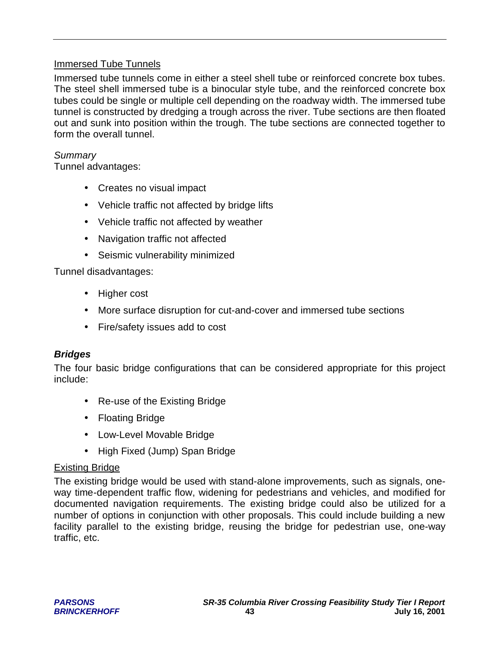## Immersed Tube Tunnels

Immersed tube tunnels come in either a steel shell tube or reinforced concrete box tubes. The steel shell immersed tube is a binocular style tube, and the reinforced concrete box tubes could be single or multiple cell depending on the roadway width. The immersed tube tunnel is constructed by dredging a trough across the river. Tube sections are then floated out and sunk into position within the trough. The tube sections are connected together to form the overall tunnel.

#### *Summary*

Tunnel advantages:

- Creates no visual impact
- Vehicle traffic not affected by bridge lifts
- Vehicle traffic not affected by weather
- Navigation traffic not affected
- Seismic vulnerability minimized

Tunnel disadvantages:

- Higher cost
- More surface disruption for cut-and-cover and immersed tube sections
- Fire/safety issues add to cost

## *Bridges*

The four basic bridge configurations that can be considered appropriate for this project include:

- Re-use of the Existing Bridge
- Floating Bridge
- Low-Level Movable Bridge
- High Fixed (Jump) Span Bridge

## Existing Bridge

The existing bridge would be used with stand-alone improvements, such as signals, oneway time-dependent traffic flow, widening for pedestrians and vehicles, and modified for documented navigation requirements. The existing bridge could also be utilized for a number of options in conjunction with other proposals. This could include building a new facility parallel to the existing bridge, reusing the bridge for pedestrian use, one-way traffic, etc.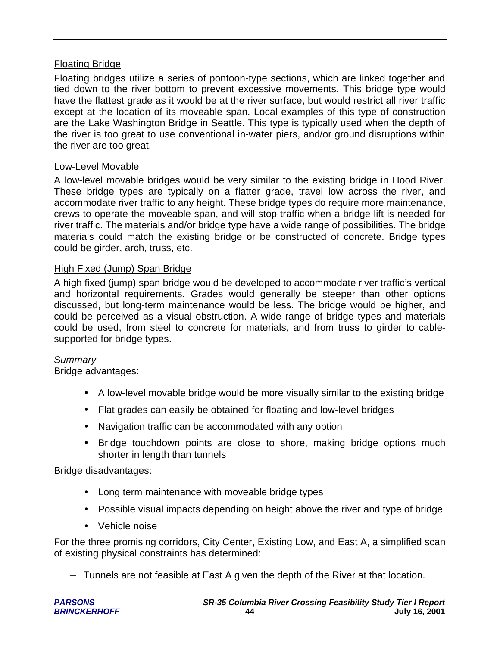## Floating Bridge

Floating bridges utilize a series of pontoon-type sections, which are linked together and tied down to the river bottom to prevent excessive movements. This bridge type would have the flattest grade as it would be at the river surface, but would restrict all river traffic except at the location of its moveable span. Local examples of this type of construction are the Lake Washington Bridge in Seattle. This type is typically used when the depth of the river is too great to use conventional in-water piers, and/or ground disruptions within the river are too great.

#### Low-Level Movable

A low-level movable bridges would be very similar to the existing bridge in Hood River. These bridge types are typically on a flatter grade, travel low across the river, and accommodate river traffic to any height. These bridge types do require more maintenance, crews to operate the moveable span, and will stop traffic when a bridge lift is needed for river traffic. The materials and/or bridge type have a wide range of possibilities. The bridge materials could match the existing bridge or be constructed of concrete. Bridge types could be girder, arch, truss, etc.

#### High Fixed (Jump) Span Bridge

A high fixed (jump) span bridge would be developed to accommodate river traffic's vertical and horizontal requirements. Grades would generally be steeper than other options discussed, but long-term maintenance would be less. The bridge would be higher, and could be perceived as a visual obstruction. A wide range of bridge types and materials could be used, from steel to concrete for materials, and from truss to girder to cablesupported for bridge types.

#### *Summary*

Bridge advantages:

- A low-level movable bridge would be more visually similar to the existing bridge
- Flat grades can easily be obtained for floating and low-level bridges
- Navigation traffic can be accommodated with any option
- Bridge touchdown points are close to shore, making bridge options much shorter in length than tunnels

Bridge disadvantages:

- Long term maintenance with moveable bridge types
- Possible visual impacts depending on height above the river and type of bridge
- Vehicle noise

For the three promising corridors, City Center, Existing Low, and East A, a simplified scan of existing physical constraints has determined:

− Tunnels are not feasible at East A given the depth of the River at that location.

| <b>PARSONS</b>      |
|---------------------|
| <b>BRINCKERHOFF</b> |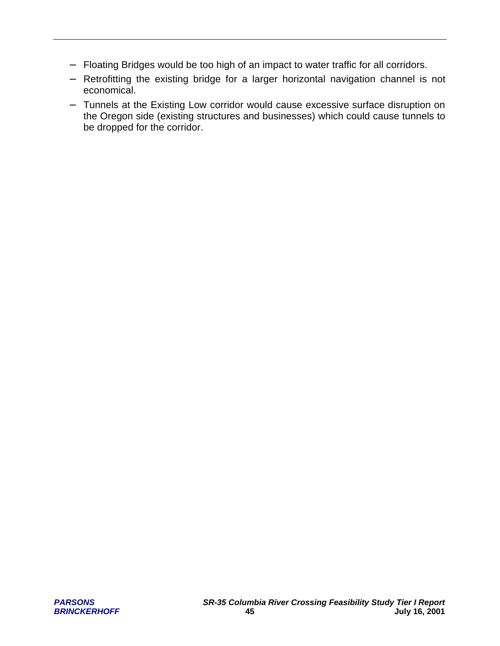- − Floating Bridges would be too high of an impact to water traffic for all corridors.
- − Retrofitting the existing bridge for a larger horizontal navigation channel is not economical.
- − Tunnels at the Existing Low corridor would cause excessive surface disruption on the Oregon side (existing structures and businesses) which could cause tunnels to be dropped for the corridor.